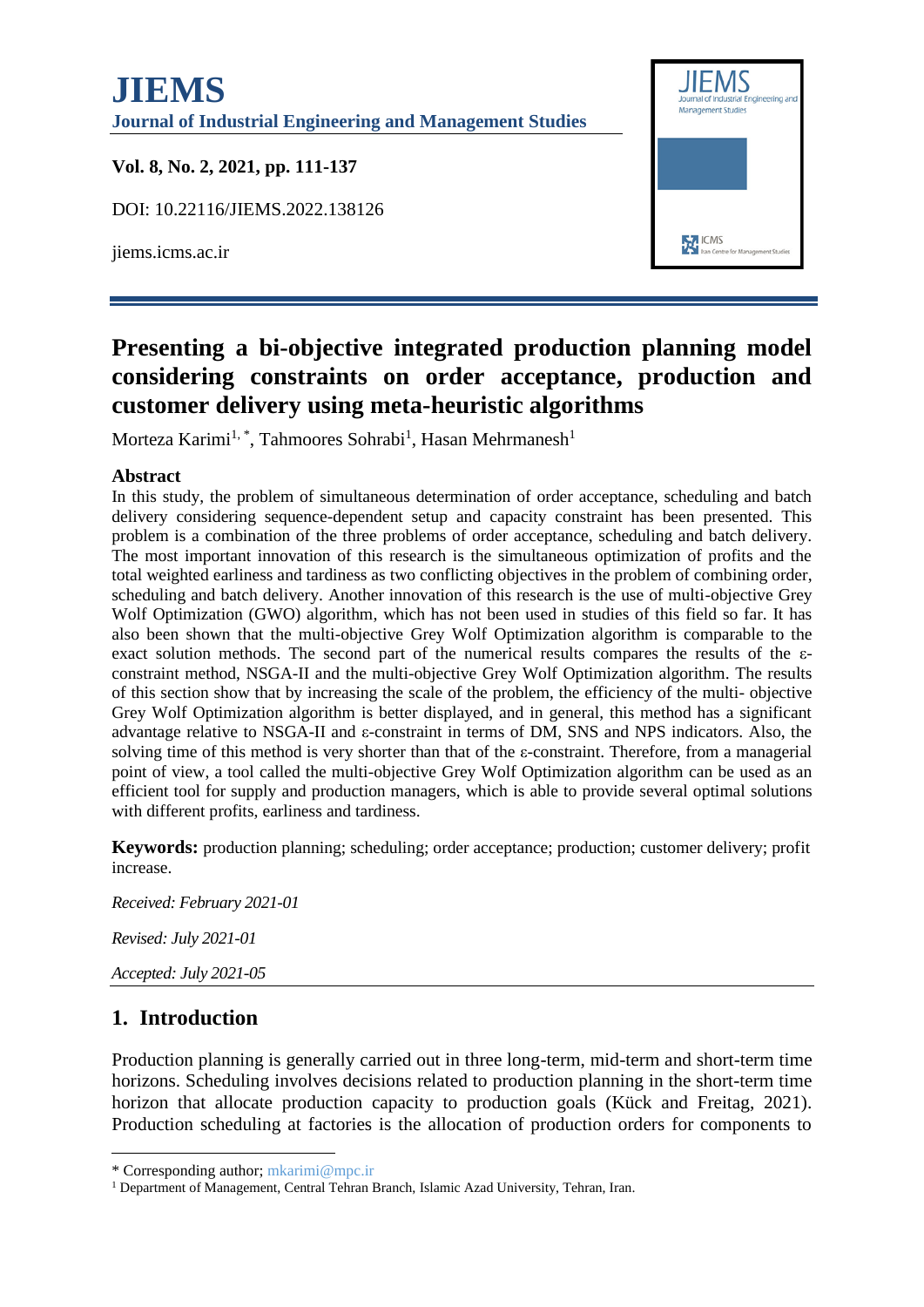# **JIEMS Journal of Industrial Engineering and Management Studies Vol. 8, No. 2, 2021, pp. 111-137** DOI: 10.22116/JIEMS.2022.138126 **EXT** ICMS jiems.icms.ac.ir

# **Presenting a bi-objective integrated production planning model considering constraints on order acceptance, production and customer delivery using meta-heuristic algorithms**

Morteza Karimi<sup>1,\*</sup>, Tahmoores Sohrabi<sup>1</sup>, Hasan Mehrmanesh<sup>1</sup>

#### **Abstract**

In this study, the problem of simultaneous determination of order acceptance, scheduling and batch delivery considering sequence-dependent setup and capacity constraint has been presented. This problem is a combination of the three problems of order acceptance, scheduling and batch delivery. The most important innovation of this research is the simultaneous optimization of profits and the total weighted earliness and tardiness as two conflicting objectives in the problem of combining order, scheduling and batch delivery. Another innovation of this research is the use of multi-objective Grey Wolf Optimization (GWO) algorithm, which has not been used in studies of this field so far. It has also been shown that the multi-objective Grey Wolf Optimization algorithm is comparable to the exact solution methods. The second part of the numerical results compares the results of the εconstraint method, NSGA-II and the multi-objective Grey Wolf Optimization algorithm. The results of this section show that by increasing the scale of the problem, the efficiency of the multi- objective Grey Wolf Optimization algorithm is better displayed, and in general, this method has a significant advantage relative to NSGA-II and ε-constraint in terms of DM, SNS and NPS indicators. Also, the solving time of this method is very shorter than that of the ε-constraint. Therefore, from a managerial point of view, a tool called the multi-objective Grey Wolf Optimization algorithm can be used as an efficient tool for supply and production managers, which is able to provide several optimal solutions with different profits, earliness and tardiness.

**Keywords:** production planning; scheduling; order acceptance; production; customer delivery; profit increase.

*Received: February 2021-01 Revised: July 2021-01 Accepted: July 2021-05*

# **1. Introduction**

Production planning is generally carried out in three long-term, mid-term and short-term time horizons. Scheduling involves decisions related to production planning in the short-term time horizon that allocate production capacity to production goals (Kück and Freitag, 2021). Production scheduling at factories is the allocation of production orders for components to

<sup>\*</sup> Corresponding author; mkarimi@mpc.ir

<sup>&</sup>lt;sup>1</sup> Department of Management, Central Tehran Branch, Islamic Azad University, Tehran, Iran.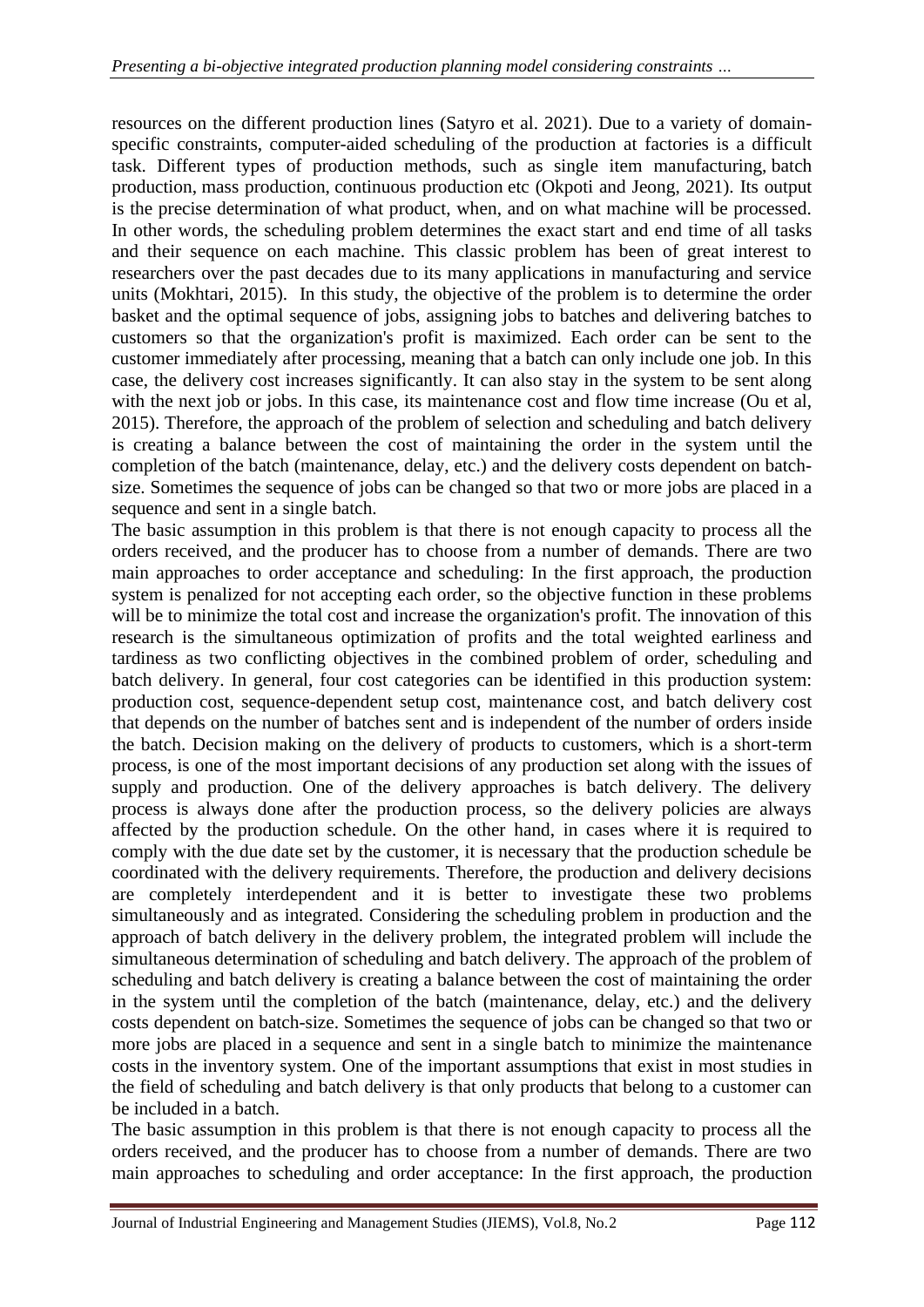resources on the different production lines (Satyro et al. 2021). Due to a variety of domainspecific constraints, computer-aided scheduling of the production at factories is a difficult task. Different types of production methods, such as single item manufacturing, batch production, mass production, continuous production etc (Okpoti and Jeong, 2021). Its output is the precise determination of what product, when, and on what machine will be processed. In other words, the scheduling problem determines the exact start and end time of all tasks and their sequence on each machine. This classic problem has been of great interest to researchers over the past decades due to its many applications in manufacturing and service units (Mokhtari, 2015). In this study, the objective of the problem is to determine the order basket and the optimal sequence of jobs, assigning jobs to batches and delivering batches to customers so that the organization's profit is maximized. Each order can be sent to the customer immediately after processing, meaning that a batch can only include one job. In this case, the delivery cost increases significantly. It can also stay in the system to be sent along with the next job or jobs. In this case, its maintenance cost and flow time increase (Ou et al, 2015). Therefore, the approach of the problem of selection and scheduling and batch delivery is creating a balance between the cost of maintaining the order in the system until the completion of the batch (maintenance, delay, etc.) and the delivery costs dependent on batchsize. Sometimes the sequence of jobs can be changed so that two or more jobs are placed in a sequence and sent in a single batch.

The basic assumption in this problem is that there is not enough capacity to process all the orders received, and the producer has to choose from a number of demands. There are two main approaches to order acceptance and scheduling: In the first approach, the production system is penalized for not accepting each order, so the objective function in these problems will be to minimize the total cost and increase the organization's profit. The innovation of this research is the simultaneous optimization of profits and the total weighted earliness and tardiness as two conflicting objectives in the combined problem of order, scheduling and batch delivery. In general, four cost categories can be identified in this production system: production cost, sequence-dependent setup cost, maintenance cost, and batch delivery cost that depends on the number of batches sent and is independent of the number of orders inside the batch. Decision making on the delivery of products to customers, which is a short-term process, is one of the most important decisions of any production set along with the issues of supply and production. One of the delivery approaches is batch delivery. The delivery process is always done after the production process, so the delivery policies are always affected by the production schedule. On the other hand, in cases where it is required to comply with the due date set by the customer, it is necessary that the production schedule be coordinated with the delivery requirements. Therefore, the production and delivery decisions are completely interdependent and it is better to investigate these two problems simultaneously and as integrated. Considering the scheduling problem in production and the approach of batch delivery in the delivery problem, the integrated problem will include the simultaneous determination of scheduling and batch delivery. The approach of the problem of scheduling and batch delivery is creating a balance between the cost of maintaining the order in the system until the completion of the batch (maintenance, delay, etc.) and the delivery costs dependent on batch-size. Sometimes the sequence of jobs can be changed so that two or more jobs are placed in a sequence and sent in a single batch to minimize the maintenance costs in the inventory system. One of the important assumptions that exist in most studies in the field of scheduling and batch delivery is that only products that belong to a customer can be included in a batch.

The basic assumption in this problem is that there is not enough capacity to process all the orders received, and the producer has to choose from a number of demands. There are two main approaches to scheduling and order acceptance: In the first approach, the production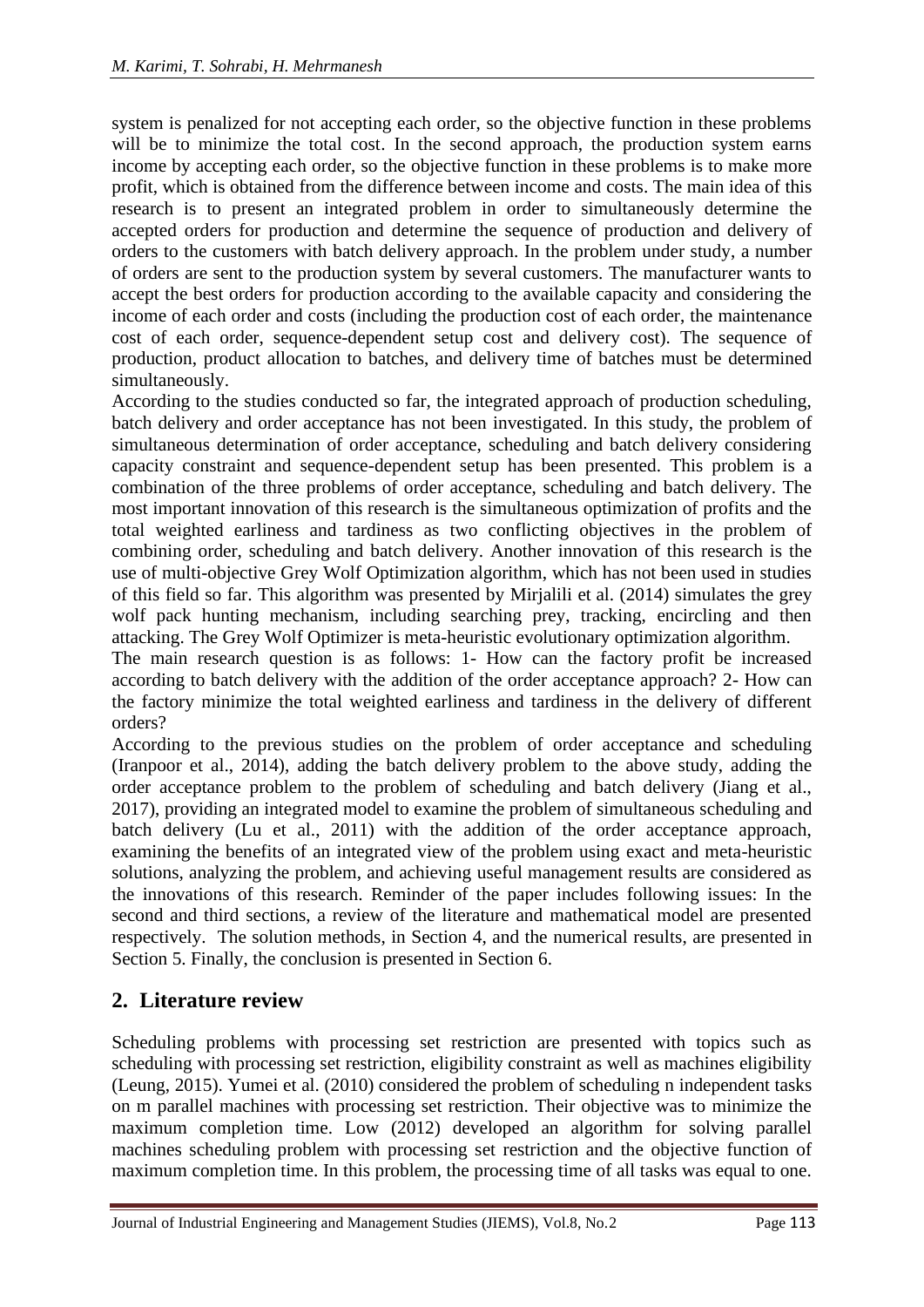system is penalized for not accepting each order, so the objective function in these problems will be to minimize the total cost. In the second approach, the production system earns income by accepting each order, so the objective function in these problems is to make more profit, which is obtained from the difference between income and costs. The main idea of this research is to present an integrated problem in order to simultaneously determine the accepted orders for production and determine the sequence of production and delivery of orders to the customers with batch delivery approach. In the problem under study, a number of orders are sent to the production system by several customers. The manufacturer wants to accept the best orders for production according to the available capacity and considering the income of each order and costs (including the production cost of each order, the maintenance cost of each order, sequence-dependent setup cost and delivery cost). The sequence of production, product allocation to batches, and delivery time of batches must be determined simultaneously.

According to the studies conducted so far, the integrated approach of production scheduling, batch delivery and order acceptance has not been investigated. In this study, the problem of simultaneous determination of order acceptance, scheduling and batch delivery considering capacity constraint and sequence-dependent setup has been presented. This problem is a combination of the three problems of order acceptance, scheduling and batch delivery. The most important innovation of this research is the simultaneous optimization of profits and the total weighted earliness and tardiness as two conflicting objectives in the problem of combining order, scheduling and batch delivery. Another innovation of this research is the use of multi-objective Grey Wolf Optimization algorithm, which has not been used in studies of this field so far. This algorithm was presented by Mirjalili et al. (2014) simulates the grey wolf pack hunting mechanism, including searching prey, tracking, encircling and then attacking. The Grey Wolf Optimizer is meta-heuristic evolutionary optimization algorithm.

The main research question is as follows: 1- How can the factory profit be increased according to batch delivery with the addition of the order acceptance approach? 2- How can the factory minimize the total weighted earliness and tardiness in the delivery of different orders?

According to the previous studies on the problem of order acceptance and scheduling (Iranpoor et al., 2014), adding the batch delivery problem to the above study, adding the order acceptance problem to the problem of scheduling and batch delivery (Jiang et al., 2017), providing an integrated model to examine the problem of simultaneous scheduling and batch delivery (Lu et al., 2011) with the addition of the order acceptance approach, examining the benefits of an integrated view of the problem using exact and meta-heuristic solutions, analyzing the problem, and achieving useful management results are considered as the innovations of this research. Reminder of the paper includes following issues: In the second and third sections, a review of the literature and mathematical model are presented respectively. The solution methods, in Section 4, and the numerical results, are presented in Section 5. Finally, the conclusion is presented in Section 6.

# **2. Literature review**

Scheduling problems with processing set restriction are presented with topics such as scheduling with processing set restriction, eligibility constraint as well as machines eligibility (Leung, 2015). Yumei et al. (2010) considered the problem of scheduling n independent tasks on m parallel machines with processing set restriction. Their objective was to minimize the maximum completion time. Low (2012) developed an algorithm for solving parallel machines scheduling problem with processing set restriction and the objective function of maximum completion time. In this problem, the processing time of all tasks was equal to one.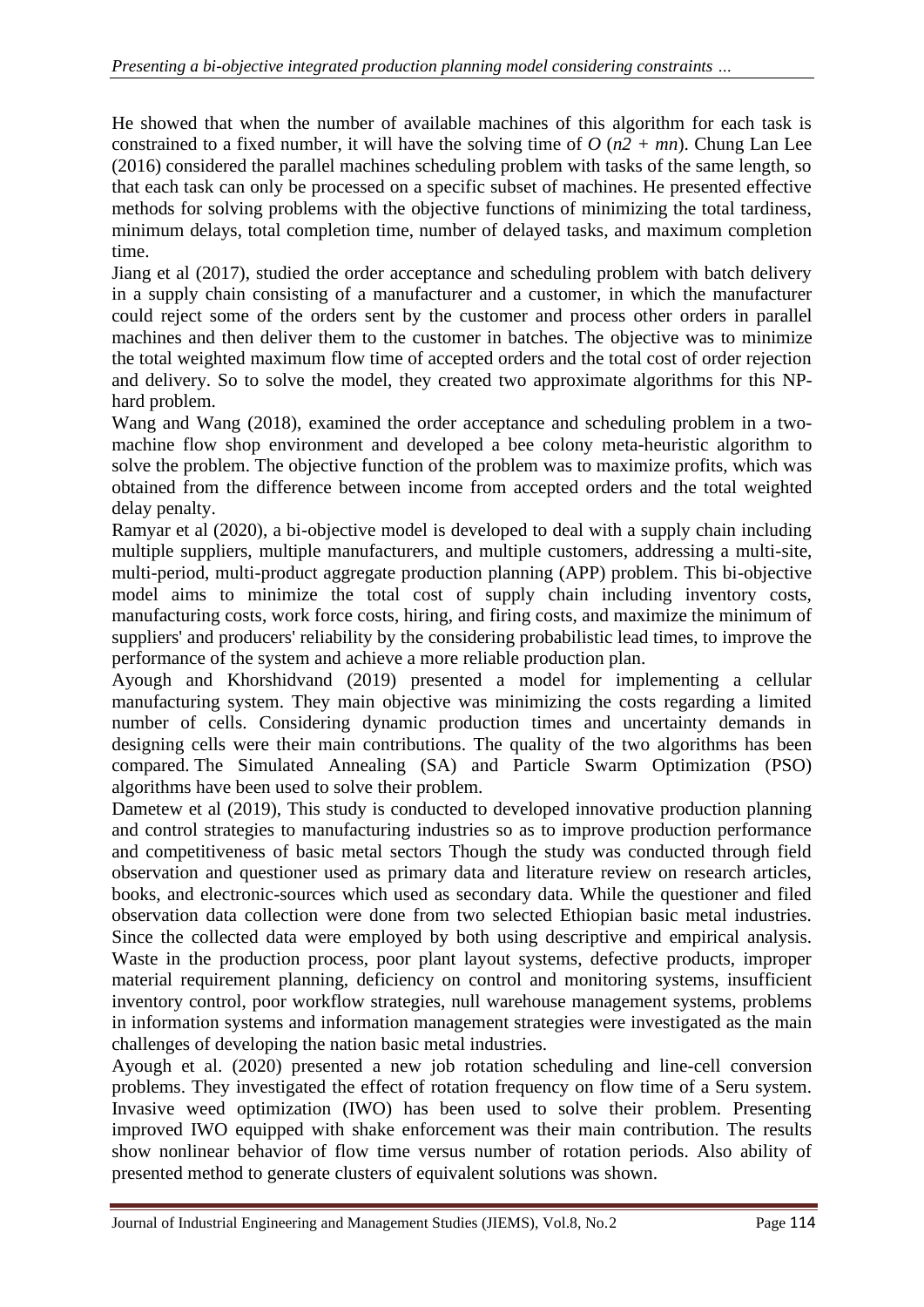He showed that when the number of available machines of this algorithm for each task is constrained to a fixed number, it will have the solving time of *O* (*n2 + mn*). Chung Lan Lee (2016) considered the parallel machines scheduling problem with tasks of the same length, so that each task can only be processed on a specific subset of machines. He presented effective methods for solving problems with the objective functions of minimizing the total tardiness, minimum delays, total completion time, number of delayed tasks, and maximum completion time.

Jiang et al (2017), studied the order acceptance and scheduling problem with batch delivery in a supply chain consisting of a manufacturer and a customer, in which the manufacturer could reject some of the orders sent by the customer and process other orders in parallel machines and then deliver them to the customer in batches. The objective was to minimize the total weighted maximum flow time of accepted orders and the total cost of order rejection and delivery. So to solve the model, they created two approximate algorithms for this NPhard problem.

Wang and Wang (2018), examined the order acceptance and scheduling problem in a twomachine flow shop environment and developed a bee colony meta-heuristic algorithm to solve the problem. The objective function of the problem was to maximize profits, which was obtained from the difference between income from accepted orders and the total weighted delay penalty.

Ramyar et al (2020), a bi-objective model is developed to deal with a supply chain including multiple suppliers, multiple manufacturers, and multiple customers, addressing a multi-site, multi-period, multi-product aggregate production planning (APP) problem. This bi-objective model aims to minimize the total cost of supply chain including inventory costs, manufacturing costs, work force costs, hiring, and firing costs, and maximize the minimum of suppliers' and producers' reliability by the considering probabilistic lead times, to improve the performance of the system and achieve a more reliable production plan.

Ayough and Khorshidvand (2019) presented a model for implementing a cellular manufacturing system. They main objective was minimizing the costs regarding a limited number of cells. Considering dynamic production times and uncertainty demands in designing cells were their main contributions. The quality of the two algorithms has been compared. The Simulated Annealing (SA) and Particle Swarm Optimization (PSO) algorithms have been used to solve their problem.

Dametew et al (2019), This study is conducted to developed innovative production planning and control strategies to manufacturing industries so as to improve production performance and competitiveness of basic metal sectors Though the study was conducted through field observation and questioner used as primary data and literature review on research articles, books, and electronic-sources which used as secondary data. While the questioner and filed observation data collection were done from two selected Ethiopian basic metal industries. Since the collected data were employed by both using descriptive and empirical analysis. Waste in the production process, poor plant layout systems, defective products, improper material requirement planning, deficiency on control and monitoring systems, insufficient inventory control, poor workflow strategies, null warehouse management systems, problems in information systems and information management strategies were investigated as the main challenges of developing the nation basic metal industries.

Ayough et al. (2020) presented a new job rotation scheduling and line-cell conversion problems. They investigated the effect of rotation frequency on flow time of a Seru system. Invasive weed optimization (IWO) has been used to solve their problem. Presenting improved IWO equipped with shake enforcement was their main contribution. The results show nonlinear behavior of flow time versus number of rotation periods. Also ability of presented method to generate clusters of equivalent solutions was shown.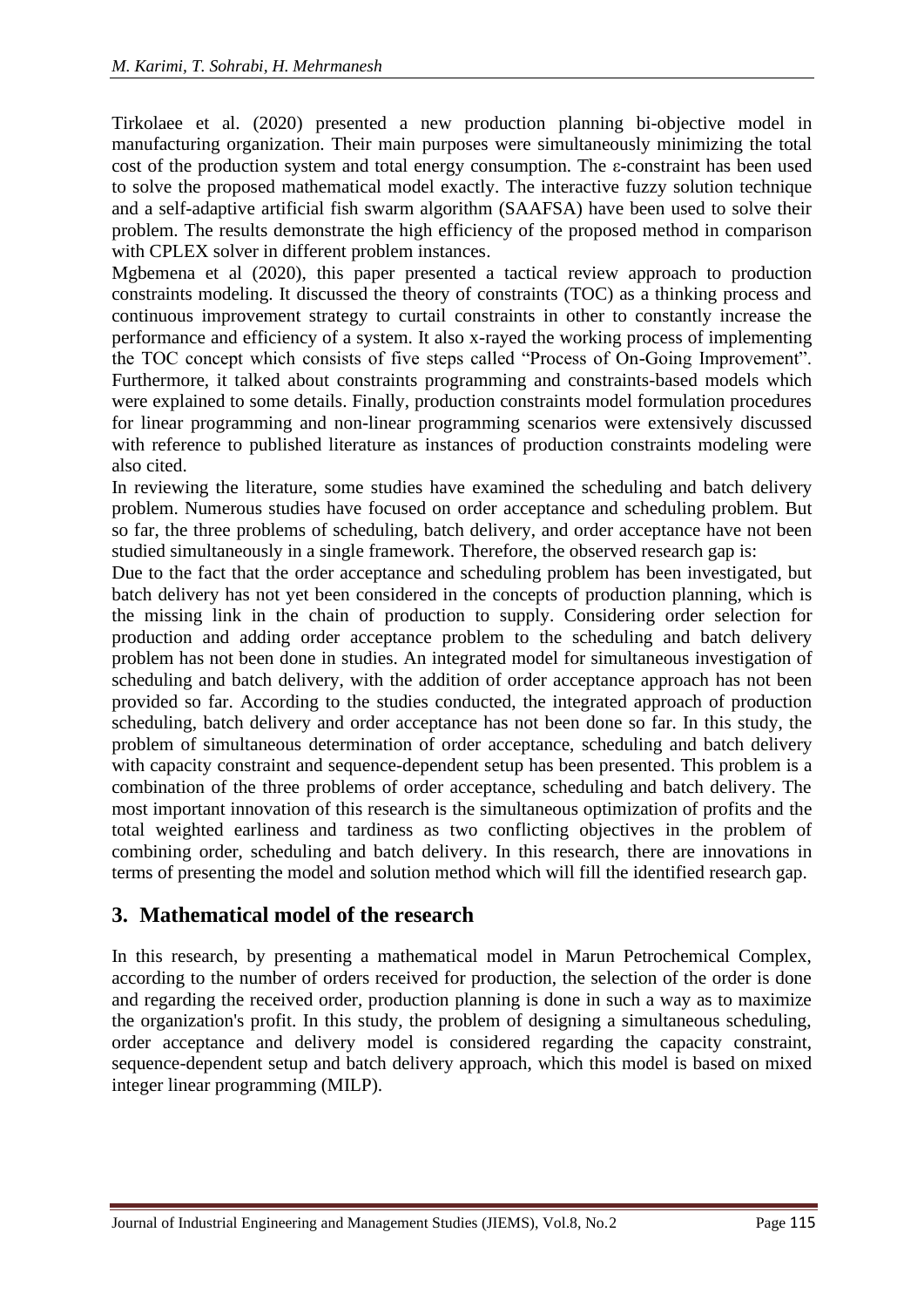Tirkolaee et al. (2020) presented a new production planning bi-objective model in manufacturing organization. Their main purposes were simultaneously minimizing the total cost of the production system and total energy consumption. The ε-constraint has been used to solve the proposed mathematical model exactly. The interactive fuzzy solution technique and a self-adaptive artificial fish swarm algorithm (SAAFSA) have been used to solve their problem. The results demonstrate the high efficiency of the proposed method in comparison with CPLEX solver in different problem instances.

Mgbemena et al (2020), this paper presented a tactical review approach to production constraints modeling. It discussed the theory of constraints (TOC) as a thinking process and continuous improvement strategy to curtail constraints in other to constantly increase the performance and efficiency of a system. It also x-rayed the working process of implementing the TOC concept which consists of five steps called "Process of On-Going Improvement". Furthermore, it talked about constraints programming and constraints-based models which were explained to some details. Finally, production constraints model formulation procedures for linear programming and non-linear programming scenarios were extensively discussed with reference to published literature as instances of production constraints modeling were also cited.

In reviewing the literature, some studies have examined the scheduling and batch delivery problem. Numerous studies have focused on order acceptance and scheduling problem. But so far, the three problems of scheduling, batch delivery, and order acceptance have not been studied simultaneously in a single framework. Therefore, the observed research gap is:

Due to the fact that the order acceptance and scheduling problem has been investigated, but batch delivery has not yet been considered in the concepts of production planning, which is the missing link in the chain of production to supply. Considering order selection for production and adding order acceptance problem to the scheduling and batch delivery problem has not been done in studies. An integrated model for simultaneous investigation of scheduling and batch delivery, with the addition of order acceptance approach has not been provided so far. According to the studies conducted, the integrated approach of production scheduling, batch delivery and order acceptance has not been done so far. In this study, the problem of simultaneous determination of order acceptance, scheduling and batch delivery with capacity constraint and sequence-dependent setup has been presented. This problem is a combination of the three problems of order acceptance, scheduling and batch delivery. The most important innovation of this research is the simultaneous optimization of profits and the total weighted earliness and tardiness as two conflicting objectives in the problem of combining order, scheduling and batch delivery. In this research, there are innovations in terms of presenting the model and solution method which will fill the identified research gap.

# **3. Mathematical model of the research**

In this research, by presenting a mathematical model in Marun Petrochemical Complex, according to the number of orders received for production, the selection of the order is done and regarding the received order, production planning is done in such a way as to maximize the organization's profit. In this study, the problem of designing a simultaneous scheduling, order acceptance and delivery model is considered regarding the capacity constraint, sequence-dependent setup and batch delivery approach, which this model is based on mixed integer linear programming (MILP).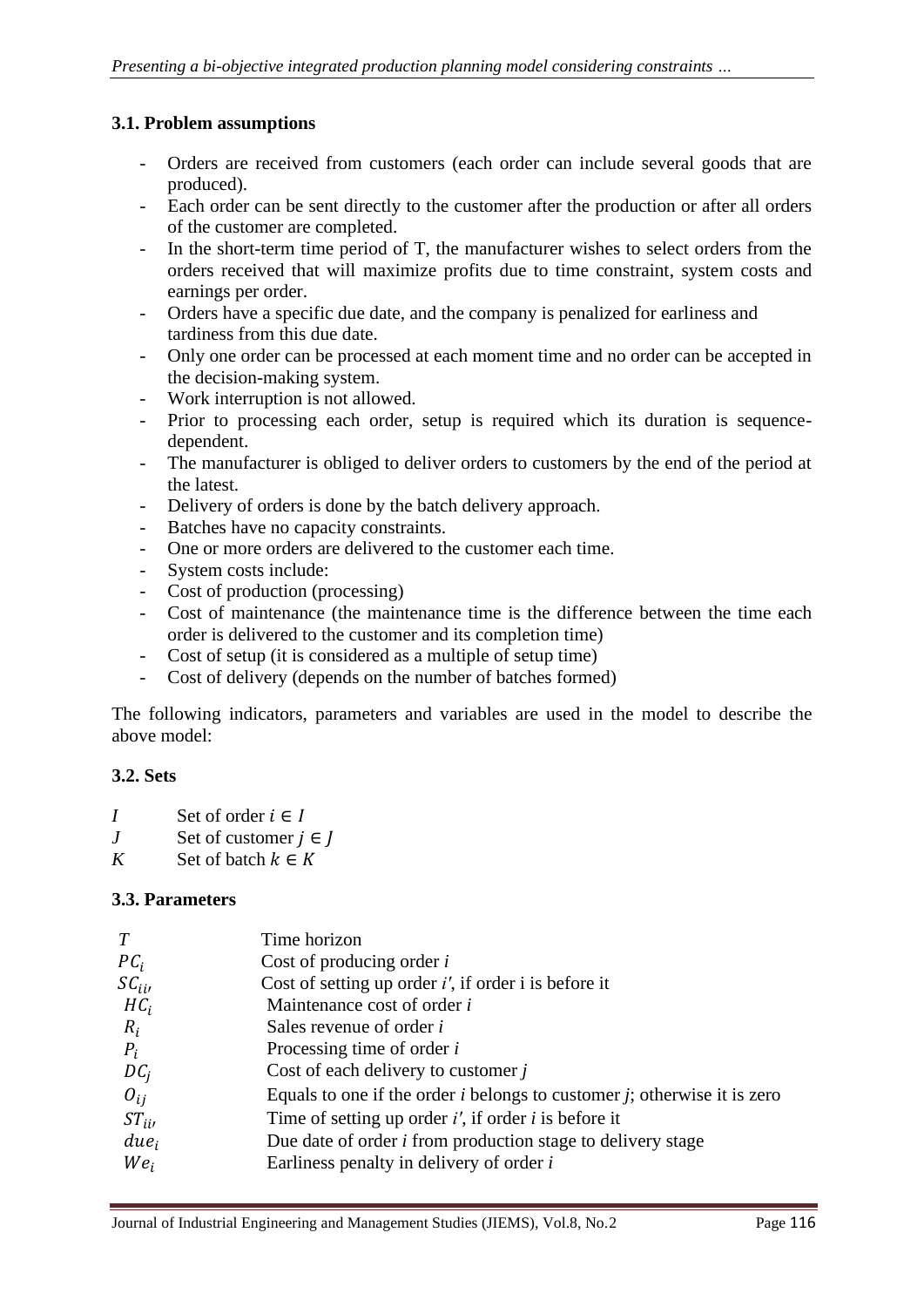# **3.1. Problem assumptions**

- Orders are received from customers (each order can include several goods that are produced).
- Each order can be sent directly to the customer after the production or after all orders of the customer are completed.
- In the short-term time period of T, the manufacturer wishes to select orders from the orders received that will maximize profits due to time constraint, system costs and earnings per order.
- Orders have a specific due date, and the company is penalized for earliness and tardiness from this due date.
- Only one order can be processed at each moment time and no order can be accepted in the decision-making system.
- Work interruption is not allowed.
- Prior to processing each order, setup is required which its duration is sequencedependent.
- The manufacturer is obliged to deliver orders to customers by the end of the period at the latest.
- Delivery of orders is done by the batch delivery approach.
- Batches have no capacity constraints.
- One or more orders are delivered to the customer each time.
- System costs include:
- Cost of production (processing)
- Cost of maintenance (the maintenance time is the difference between the time each order is delivered to the customer and its completion time)
- Cost of setup (it is considered as a multiple of setup time)
- Cost of delivery (depends on the number of batches formed)

The following indicators, parameters and variables are used in the model to describe the above model:

# **3.2. Sets**

- *I* Set of order  $i \in I$
- *J* Set of customer  $j \in J$
- *K* Set of batch  $k \in K$

# **3.3. Parameters**

| T                   | Time horizon                                                                  |
|---------------------|-------------------------------------------------------------------------------|
| $PC_i$              | Cost of producing order $i$                                                   |
| $\mathcal{SC}_{ii}$ | Cost of setting up order $i'$ , if order i is before it                       |
| $HC_i$              | Maintenance cost of order <i>i</i>                                            |
| $R_i$               | Sales revenue of order <i>i</i>                                               |
| $P_i$               | Processing time of order $i$                                                  |
| $DC_i$              | Cost of each delivery to customer j                                           |
| $O_{ij}$            | Equals to one if the order $i$ belongs to customer $j$ ; otherwise it is zero |
| $ST_{ii}$           | Time of setting up order $i'$ , if order $i$ is before it                     |
| due <sub>i</sub>    | Due date of order <i>i</i> from production stage to delivery stage            |
| $We_i$              | Earliness penalty in delivery of order i                                      |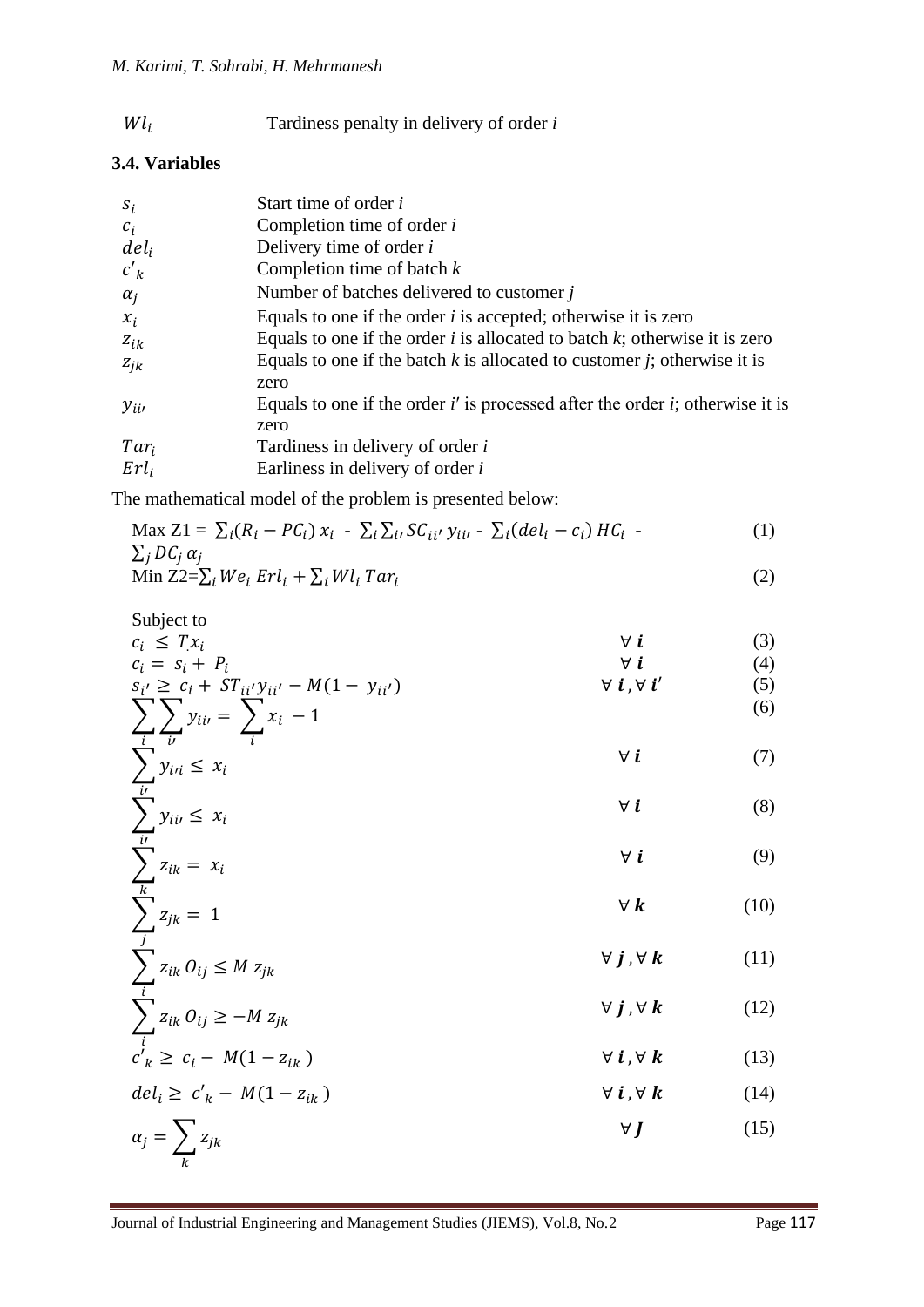Tardiness penalty in delivery of order *i*  $Wl_i$ 

#### **3.4. Variables**

| $S_i$      | Start time of order i                                                                      |
|------------|--------------------------------------------------------------------------------------------|
| $c_i$      | Completion time of order $i$                                                               |
| $del_i$    | Delivery time of order <i>i</i>                                                            |
| $c'_{k}$   | Completion time of batch $k$                                                               |
| $\alpha_i$ | Number of batches delivered to customer $j$                                                |
| $x_i$      | Equals to one if the order $i$ is accepted; otherwise it is zero                           |
| $z_{ik}$   | Equals to one if the order $i$ is allocated to batch $k$ ; otherwise it is zero            |
| $z_{jk}$   | Equals to one if the batch $k$ is allocated to customer $j$ ; otherwise it is<br>zero      |
| $y_{ii}$   | Equals to one if the order $i'$ is processed after the order $i$ ; otherwise it is<br>zero |
| $Tar_i$    | Tardiness in delivery of order i                                                           |
| $Erl_i$    | Earliness in delivery of order i                                                           |

The mathematical model of the problem is presented below:

$$
\begin{aligned} \text{Max } Z1 &= \sum_{i} (R_i - PC_i) \, x_i \, - \sum_{i} \sum_{i'} SC_{ii'} \, y_{ii'} \, - \sum_{i} (del_i - c_i) \, HC_i \, - \\ \sum_{j} DC_j \, \alpha_j & \text{Min } Z2 - \sum_{i} We, \, Frl_i + \sum_{i'} WL_i \, Tar_i \end{aligned} \tag{2}
$$

Min 
$$
Z2 = \sum_i We_i Erl_i + \sum_i Wl_i Tar_i
$$
 (2)

Subject to

\n
$$
c_{i} \leq T x_{i} \qquad \forall i \qquad (3)
$$
\n
$$
c_{i} = s_{i} + P_{i} \qquad \forall i \qquad (4)
$$
\n
$$
s_{i'} \geq c_{i} + S T_{ii'} y_{ii'} - M(1 - y_{ii'}) \qquad \forall i, \forall i' \qquad (5)
$$
\n
$$
\sum_{i} \sum_{j} \sum_{j} \left( \sum_{j} x_{ij} \right)^{i} \left( \sum_{j} x_{ij} \right)^{i} \qquad (6)
$$

$$
\sum_{i} \sum_{i'} y_{ii'} = \sum_{i} x_i - 1
$$
\n
$$
\sum_{i} y_{ii} \leq x_i
$$
\n(6)\n
$$
\forall i
$$
\n(7)

$$
\sum_{i'} y_{ii} \le x_i
$$
\n
$$
\forall i
$$
\n
$$
\forall i
$$
\n(7)

$$
\sum_{i}^{j} z_{ik} = x_i \qquad \forall i \qquad (9)
$$

$$
\sum_{k=1}^{k} z_{jk} = 1 \tag{10}
$$

$$
\sum_{i}^{j} z_{ik} O_{ij} \le M z_{jk} \qquad \qquad \forall j, \forall k \qquad (11)
$$

$$
\sum_{i}^{k} z_{ik} O_{ij} \ge -M z_{jk} \qquad \qquad \forall j, \forall k \qquad (12)
$$

$$
c'_{k} \ge c_{i} - M(1 - z_{ik}) \qquad \forall i, \forall k \qquad (13)
$$

$$
del_i \ge c'_k - M(1 - z_{ik}) \qquad \forall i, \forall k \qquad (14)
$$
  

$$
\alpha_j = \sum_k z_{jk} \qquad \qquad \forall J \qquad (15)
$$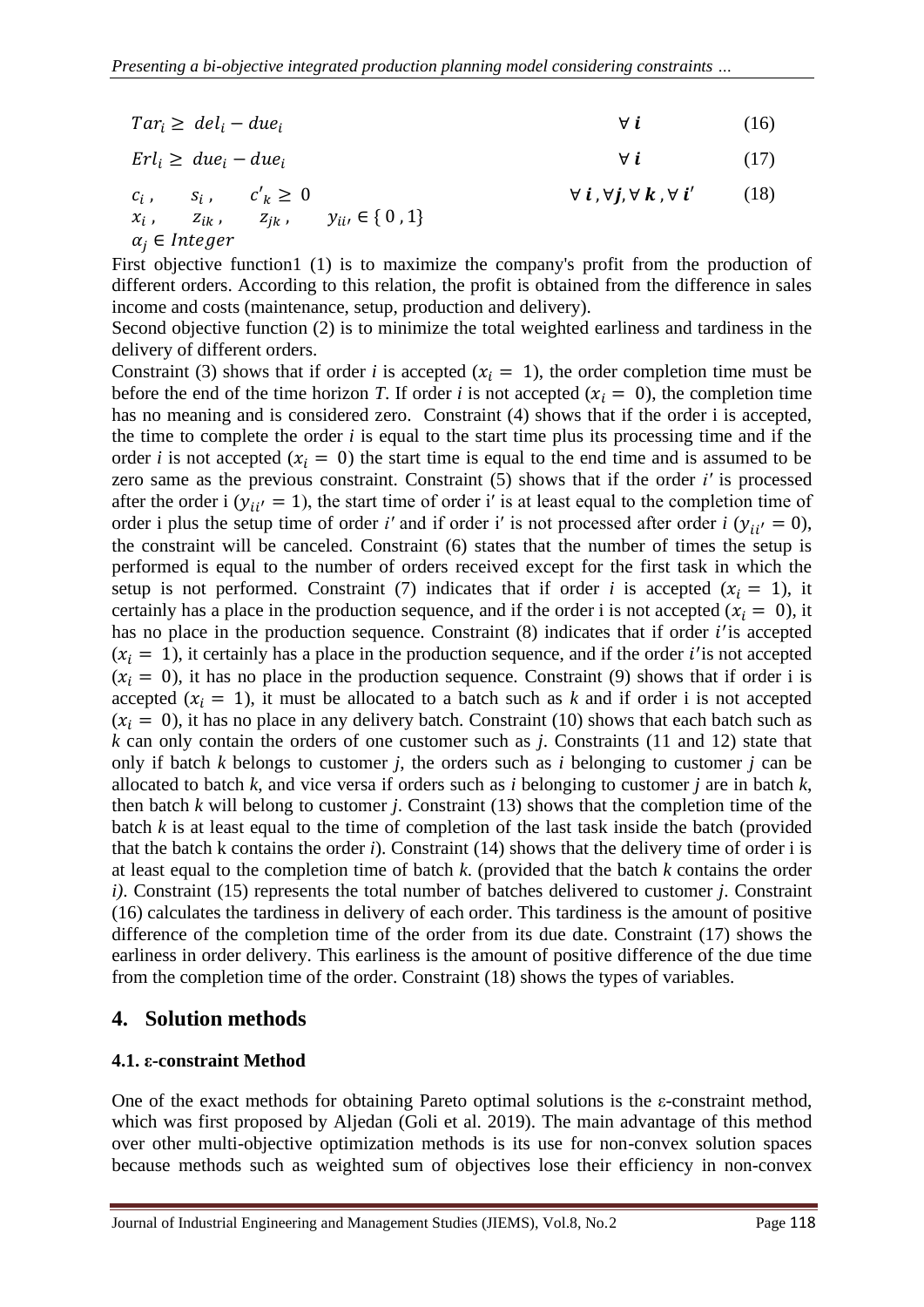| $Tar_i \geq del_i - due_i$ | (16) |
|----------------------------|------|
|                            |      |

$$
Erl_i \geq due_i - due_i \tag{17}
$$

 $c_i$ ,  $s_i$ ,  $c'_k \geq 0$   $\forall i, \forall j, \forall k, \forall i'$  (18)  $x_i$ , ,  $z_{ik}$ ,  $z_{jk}$ ,  $y_{ii}$ ,  $\in$  { 0 , 1}  $\alpha_i \in Integer$ 

First objective function1 (1) is to maximize the company's profit from the production of different orders. According to this relation, the profit is obtained from the difference in sales income and costs (maintenance, setup, production and delivery).

Second objective function (2) is to minimize the total weighted earliness and tardiness in the delivery of different orders.

Constraint (3) shows that if order *i* is accepted  $(x<sub>i</sub> = 1)$ , the order completion time must be before the end of the time horizon *T*. If order *i* is not accepted  $(x<sub>i</sub> = 0)$ , the completion time has no meaning and is considered zero. Constraint (4) shows that if the order i is accepted, the time to complete the order *i* is equal to the start time plus its processing time and if the order *i* is not accepted  $(x_i = 0)$  the start time is equal to the end time and is assumed to be zero same as the previous constraint. Constraint (5) shows that if the order *i′* is processed after the order i  $(y_{ii'} = 1)$ , the start time of order i' is at least equal to the completion time of order i plus the setup time of order *i'* and if order *i'* is not processed after order *i* ( $y_{ii'} = 0$ ), the constraint will be canceled. Constraint (6) states that the number of times the setup is performed is equal to the number of orders received except for the first task in which the setup is not performed. Constraint (7) indicates that if order *i* is accepted  $(x<sub>i</sub> = 1)$ , it certainly has a place in the production sequence, and if the order i is not accepted ( $x_i = 0$ ), it has no place in the production sequence. Constraint  $(8)$  indicates that if order  $i$ ' is accepted  $(x_i = 1)$ , it certainly has a place in the production sequence, and if the order *i*' is not accepted  $(x_i = 0)$ , it has no place in the production sequence. Constraint (9) shows that if order i is accepted  $(x_i = 1)$ , it must be allocated to a batch such as k and if order i is not accepted  $(x_i = 0)$ , it has no place in any delivery batch. Constraint (10) shows that each batch such as *k* can only contain the orders of one customer such as *j*. Constraints (11 and 12) state that only if batch *k* belongs to customer *j*, the orders such as *i* belonging to customer *j* can be allocated to batch *k*, and vice versa if orders such as *i* belonging to customer *j* are in batch *k*, then batch *k* will belong to customer *j*. Constraint (13) shows that the completion time of the batch *k* is at least equal to the time of completion of the last task inside the batch (provided that the batch k contains the order *i*). Constraint (14) shows that the delivery time of order i is at least equal to the completion time of batch *k*. (provided that the batch *k* contains the order *i)*. Constraint (15) represents the total number of batches delivered to customer *j*. Constraint (16) calculates the tardiness in delivery of each order. This tardiness is the amount of positive difference of the completion time of the order from its due date. Constraint (17) shows the earliness in order delivery. This earliness is the amount of positive difference of the due time from the completion time of the order. Constraint (18) shows the types of variables.

# **4. Solution methods**

# **4.1. ε-constraint Method**

One of the exact methods for obtaining Pareto optimal solutions is the ε-constraint method, which was first proposed by Aljedan (Goli et al. 2019). The main advantage of this method over other multi-objective optimization methods is its use for non-convex solution spaces because methods such as weighted sum of objectives lose their efficiency in non-convex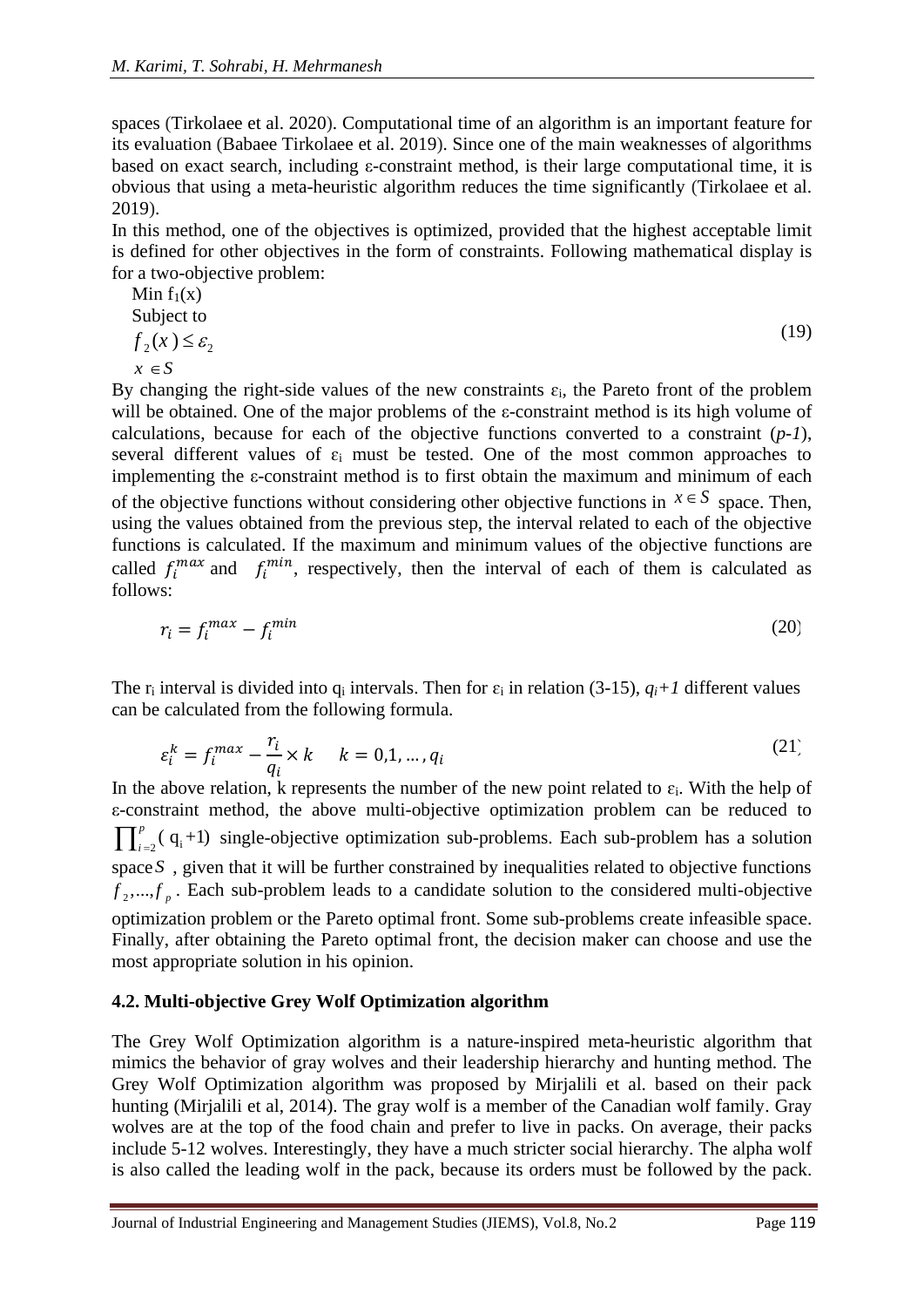spaces (Tirkolaee et al. 2020). Computational time of an algorithm is an important feature for its evaluation (Babaee Tirkolaee et al. 2019). Since one of the main weaknesses of algorithms based on exact search, including ε-constraint method, is their large computational time, it is obvious that using a meta-heuristic algorithm reduces the time significantly (Tirkolaee et al. 2019).

In this method, one of the objectives is optimized, provided that the highest acceptable limit is defined for other objectives in the form of constraints. Following mathematical display is for a two-objective problem:

Min f<sub>1</sub>(x)  
Subject to  

$$
f_2(x) \le \varepsilon_2
$$
  
 $x \in S$  (19)

By changing the right-side values of the new constraints  $\varepsilon_i$ , the Pareto front of the problem will be obtained. One of the major problems of the ε-constraint method is its high volume of calculations, because for each of the objective functions converted to a constraint (*p-1*), several different values of  $\varepsilon_i$  must be tested. One of the most common approaches to implementing the ε-constraint method is to first obtain the maximum and minimum of each of the objective functions without considering other objective functions in  $x \in S$  space. Then, using the values obtained from the previous step, the interval related to each of the objective functions is calculated. If the maximum and minimum values of the objective functions are called  $f_i^{max}$  and  $f_i^{min}$ , respectively, then the interval of each of them is calculated as follows:

$$
r_i = f_i^{max} - f_i^{min} \tag{20}
$$

The  $r_i$  interval is divided into  $q_i$  intervals. Then for  $\varepsilon_i$  in relation (3-15),  $q_i+1$  different values can be calculated from the following formula.

$$
\varepsilon_i^k = f_i^{max} - \frac{r_i}{q_i} \times k \qquad k = 0, 1, \dots, q_i \tag{21}
$$

In the above relation, k represents the number of the new point related to  $\varepsilon_i$ . With the help of ε-constraint method, the above multi-objective optimization problem can be reduced to  $\prod_{i=2}^{p}$  (q<sub>i</sub>+1) single-objective optimization sub-problems. Each sub-problem has a solution space S, given that it will be further constrained by inequalities related to objective functions  $f_2$ ,..., $f_p$ . Each sub-problem leads to a candidate solution to the considered multi-objective optimization problem or the Pareto optimal front. Some sub-problems create infeasible space. Finally, after obtaining the Pareto optimal front, the decision maker can choose and use the most appropriate solution in his opinion.

#### **4.2. Multi-objective Grey Wolf Optimization algorithm**

The Grey Wolf Optimization algorithm is a nature-inspired meta-heuristic algorithm that mimics the behavior of gray wolves and their leadership hierarchy and hunting method. The Grey Wolf Optimization algorithm was proposed by Mirjalili et al. based on their pack hunting (Mirjalili et al, 2014). The gray wolf is a member of the Canadian wolf family. Gray wolves are at the top of the food chain and prefer to live in packs. On average, their packs include 5-12 wolves. Interestingly, they have a much stricter social hierarchy. The alpha wolf is also called the leading wolf in the pack, because its orders must be followed by the pack.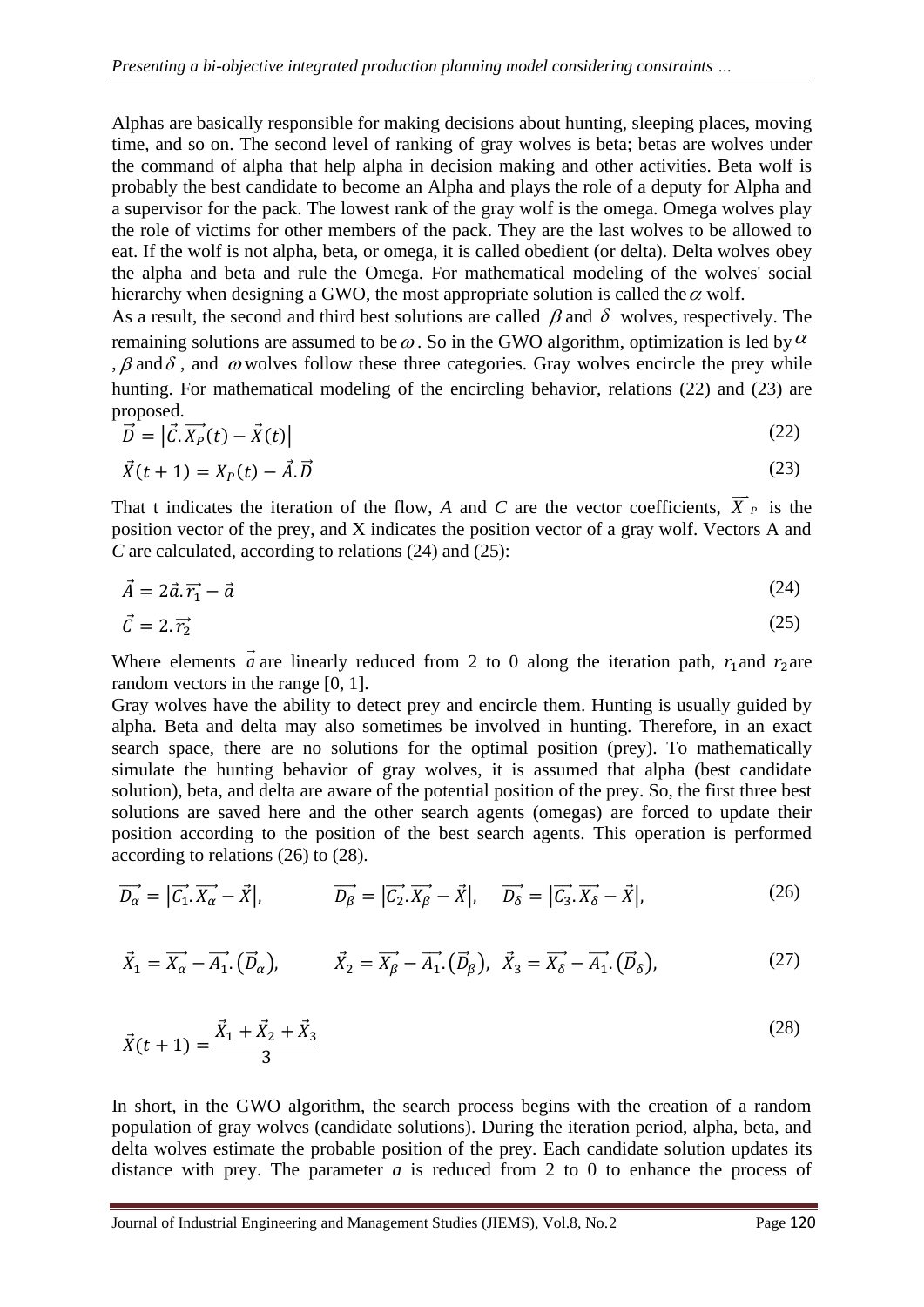Alphas are basically responsible for making decisions about hunting, sleeping places, moving time, and so on. The second level of ranking of gray wolves is beta; betas are wolves under the command of alpha that help alpha in decision making and other activities. Beta wolf is probably the best candidate to become an Alpha and plays the role of a deputy for Alpha and a supervisor for the pack. The lowest rank of the gray wolf is the omega. Omega wolves play the role of victims for other members of the pack. They are the last wolves to be allowed to eat. If the wolf is not alpha, beta, or omega, it is called obedient (or delta). Delta wolves obey the alpha and beta and rule the Omega. For mathematical modeling of the wolves' social hierarchy when designing a GWO, the most appropriate solution is called the  $\alpha$  wolf.

As a result, the second and third best solutions are called  $\beta$  and  $\delta$  wolves, respectively. The remaining solutions are assumed to be  $\omega$ . So in the GWO algorithm, optimization is led by  $\alpha$ ,  $\beta$  and  $\delta$ , and  $\omega$  wolves follow these three categories. Gray wolves encircle the prey while hunting. For mathematical modeling of the encircling behavior, relations (22) and (23) are proposed.

$$
\vec{D} = |\vec{c} \cdot \vec{X_P}(t) - \vec{X}(t)| \tag{22}
$$

$$
\vec{X}(t+1) = X_P(t) - \vec{A} \cdot \vec{D} \tag{23}
$$

That t indicates the iteration of the flow, A and C are the vector coefficients,  $X_{P}$  is the position vector of the prey, and X indicates the position vector of a gray wolf. Vectors A and *C* are calculated, according to relations (24) and (25):

$$
\vec{A} = 2\vec{a}.\vec{r_1} - \vec{a} \tag{24}
$$

$$
\vec{C} = 2.\vec{r}_2 \tag{25}
$$

Where elements *a* are linearly reduced from 2 to 0 along the iteration path,  $r_1$  and  $r_2$  are random vectors in the range [0, 1].

Gray wolves have the ability to detect prey and encircle them. Hunting is usually guided by alpha. Beta and delta may also sometimes be involved in hunting. Therefore, in an exact search space, there are no solutions for the optimal position (prey). To mathematically simulate the hunting behavior of gray wolves, it is assumed that alpha (best candidate solution), beta, and delta are aware of the potential position of the prey. So, the first three best solutions are saved here and the other search agents (omegas) are forced to update their position according to the position of the best search agents. This operation is performed according to relations (26) to (28).

$$
\overrightarrow{D_{\alpha}} = |\overrightarrow{C_1} \cdot \overrightarrow{X_{\alpha}} - \overrightarrow{X}|, \qquad \overrightarrow{D_{\beta}} = |\overrightarrow{C_2} \cdot \overrightarrow{X_{\beta}} - \overrightarrow{X}|, \qquad \overrightarrow{D_{\delta}} = |\overrightarrow{C_3} \cdot \overrightarrow{X_{\delta}} - \overrightarrow{X}|,
$$
\n(26)

$$
\vec{X}_1 = \overrightarrow{X_\alpha} - \overrightarrow{A_1} \cdot (\overrightarrow{D}_\alpha), \qquad \vec{X}_2 = \overrightarrow{X_\beta} - \overrightarrow{A_1} \cdot (\overrightarrow{D}_\beta), \quad \vec{X}_3 = \overrightarrow{X_\delta} - \overrightarrow{A_1} \cdot (\overrightarrow{D}_\delta), \tag{27}
$$

$$
\vec{X}(t+1) = \frac{\vec{X}_1 + \vec{X}_2 + \vec{X}_3}{3} \tag{28}
$$

In short, in the GWO algorithm, the search process begins with the creation of a random population of gray wolves (candidate solutions). During the iteration period, alpha, beta, and delta wolves estimate the probable position of the prey. Each candidate solution updates its distance with prey. The parameter *a* is reduced from 2 to 0 to enhance the process of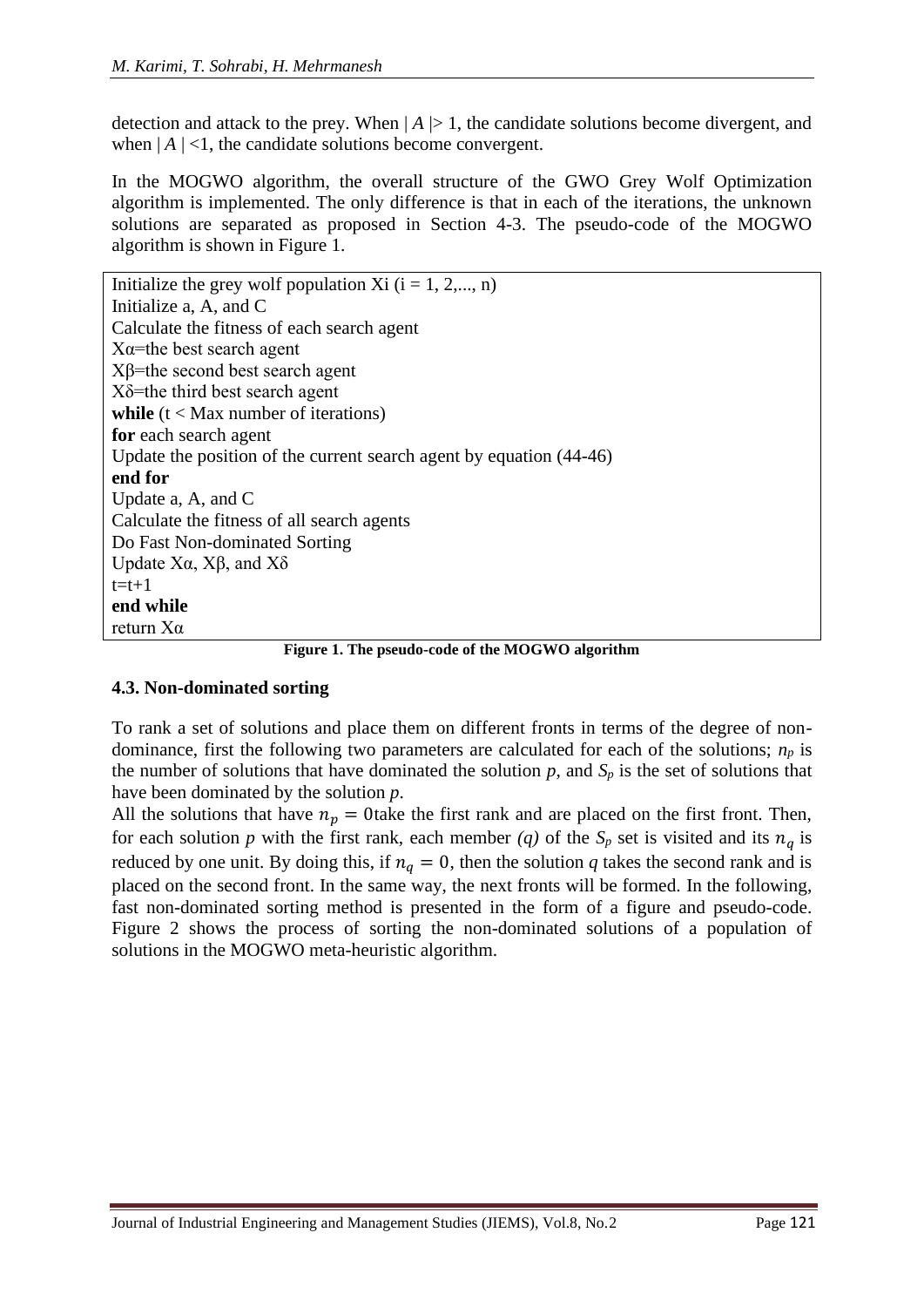detection and attack to the prey. When  $|A| > 1$ , the candidate solutions become divergent, and when  $|A|$  <1, the candidate solutions become convergent.

In the MOGWO algorithm, the overall structure of the GWO Grey Wolf Optimization algorithm is implemented. The only difference is that in each of the iterations, the unknown solutions are separated as proposed in Section 4-3. The pseudo-code of the MOGWO algorithm is shown in Figure 1.

| Initialize the grey wolf population Xi $(i = 1, 2, , n)$                                                                              |
|---------------------------------------------------------------------------------------------------------------------------------------|
| Initialize a, A, and C                                                                                                                |
| Calculate the fitness of each search agent                                                                                            |
| $X\alpha$ =the best search agent                                                                                                      |
| $X\beta$ =the second best search agent                                                                                                |
| $X\delta$ =the third best search agent                                                                                                |
| while $(t < Max$ number of iterations)                                                                                                |
| for each search agent                                                                                                                 |
| Update the position of the current search agent by equation (44-46)                                                                   |
| end for                                                                                                                               |
| Update a, A, and C                                                                                                                    |
| Calculate the fitness of all search agents                                                                                            |
| Do Fast Non-dominated Sorting                                                                                                         |
| Update Xα, Xβ, and Xδ                                                                                                                 |
| $t=t+1$                                                                                                                               |
| end while                                                                                                                             |
| return $X\alpha$                                                                                                                      |
| $\mathbf{1}$ $\mathbf{1}$ $\mathbf{0}$ $\mathbf{1}$ $\mathbf{1}$ $\mathbf{0}$ $\mathbf{0}$ $\mathbf{1}$ $\mathbf{1}$<br>$\sim$ $\sim$ |

**Figure 1. The pseudo-code of the MOGWO algorithm**

#### **4.3. Non-dominated sorting**

To rank a set of solutions and place them on different fronts in terms of the degree of nondominance, first the following two parameters are calculated for each of the solutions; *np* is the number of solutions that have dominated the solution  $p$ , and  $S_p$  is the set of solutions that have been dominated by the solution *p*.

All the solutions that have  $n_p = 0$  take the first rank and are placed on the first front. Then, for each solution *p* with the first rank, each member (q) of the  $S_p$  set is visited and its  $n_q$  is reduced by one unit. By doing this, if  $n_a = 0$ , then the solution q takes the second rank and is placed on the second front. In the same way, the next fronts will be formed. In the following, fast non-dominated sorting method is presented in the form of a figure and pseudo-code. Figure 2 shows the process of sorting the non-dominated solutions of a population of solutions in the MOGWO meta-heuristic algorithm.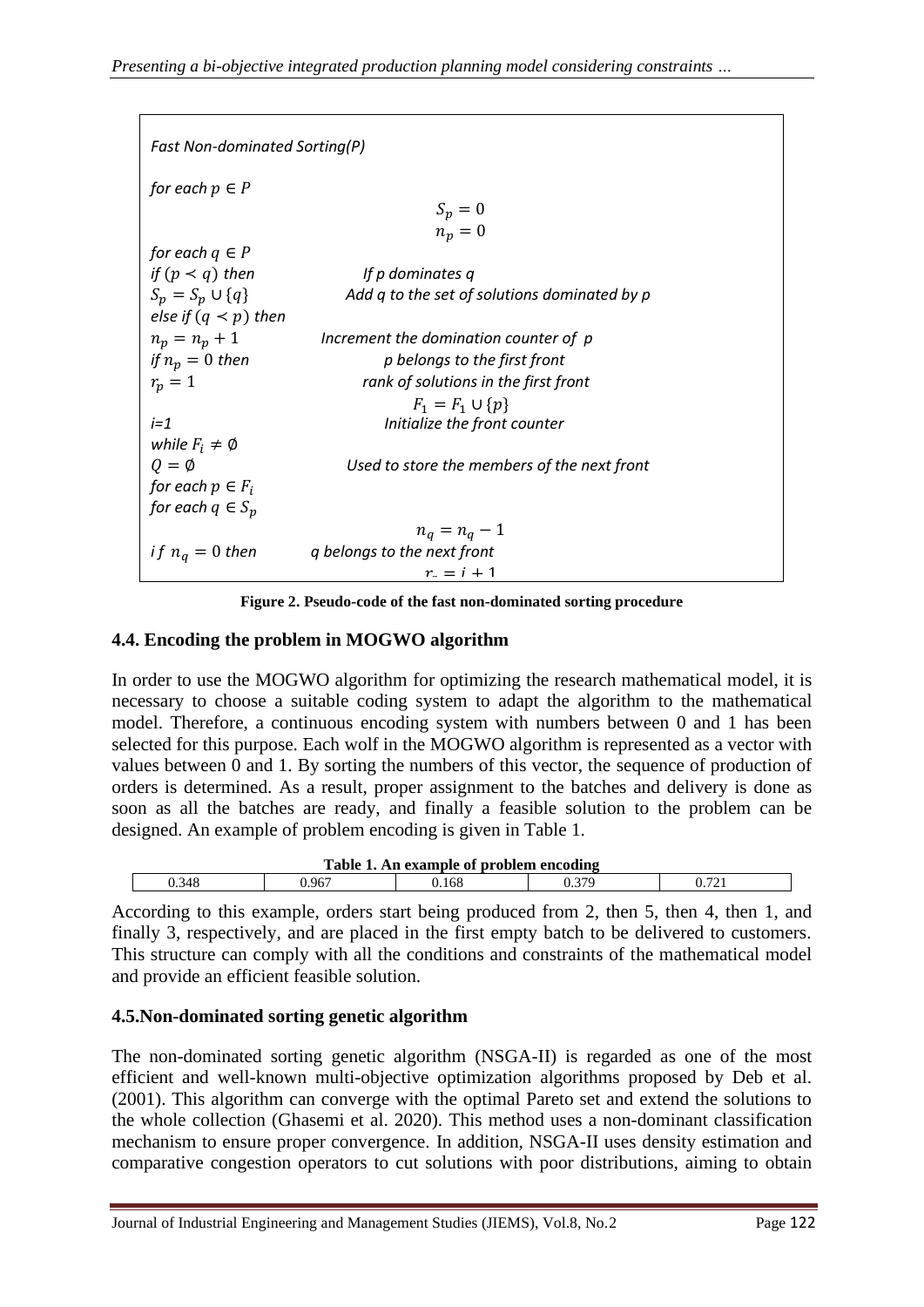| <b>Fast Non-dominated Sorting(P)</b> |                                              |  |  |
|--------------------------------------|----------------------------------------------|--|--|
| for each $p \in P$                   |                                              |  |  |
|                                      | $S_p = 0$                                    |  |  |
|                                      | $n_p = 0$                                    |  |  |
| for each $q \in P$                   |                                              |  |  |
| if $(p < q)$ then                    | If p dominates q                             |  |  |
| $S_n = S_n \cup \{q\}$               | Add q to the set of solutions dominated by p |  |  |
| else if $(q \lt p)$ then             |                                              |  |  |
| $n_p = n_p + 1$                      | Increment the domination counter of p        |  |  |
| if $n_p = 0$ then                    | p belongs to the first front                 |  |  |
| $r_p=1$                              | rank of solutions in the first front         |  |  |
|                                      | $F_1 = F_1 \cup \{p\}$                       |  |  |
| $i=1$                                | Initialize the front counter                 |  |  |
| while $F_i \neq \emptyset$           |                                              |  |  |
| $Q = \emptyset$                      | Used to store the members of the next front  |  |  |
| for each $p \in F_i$                 |                                              |  |  |
| for each $q \in S_n$                 |                                              |  |  |
|                                      | $n_q = n_q - 1$                              |  |  |
| <i>if</i> $n_q = 0$ then             | q belongs to the next front                  |  |  |
|                                      | $r = i + 1$                                  |  |  |

**Figure 2. Pseudo-code of the fast non-dominated sorting procedure** 

## **4.4. Encoding the problem in MOGWO algorithm**

In order to use the MOGWO algorithm for optimizing the research mathematical model, it is necessary to choose a suitable coding system to adapt the algorithm to the mathematical model. Therefore, a continuous encoding system with numbers between 0 and 1 has been selected for this purpose. Each wolf in the MOGWO algorithm is represented as a vector with values between 0 and 1. By sorting the numbers of this vector, the sequence of production of orders is determined. As a result, proper assignment to the batches and delivery is done as soon as all the batches are ready, and finally a feasible solution to the problem can be designed. An example of problem encoding is given in Table 1.

| Table 1.<br>. An example of problem encoding |      |     |  |                          |  |
|----------------------------------------------|------|-----|--|--------------------------|--|
| 0.348                                        | .967 | 168 |  | $\overline{\phantom{a}}$ |  |

According to this example, orders start being produced from 2, then 5, then 4, then 1, and finally 3, respectively, and are placed in the first empty batch to be delivered to customers. This structure can comply with all the conditions and constraints of the mathematical model and provide an efficient feasible solution.

# **4.5.Non-dominated sorting genetic algorithm**

The non-dominated sorting genetic algorithm (NSGA-II) is regarded as one of the most efficient and well-known multi-objective optimization algorithms proposed by Deb et al. (2001). This algorithm can converge with the optimal Pareto set and extend the solutions to the whole collection (Ghasemi et al. 2020). This method uses a non-dominant classification mechanism to ensure proper convergence. In addition, NSGA-II uses density estimation and comparative congestion operators to cut solutions with poor distributions, aiming to obtain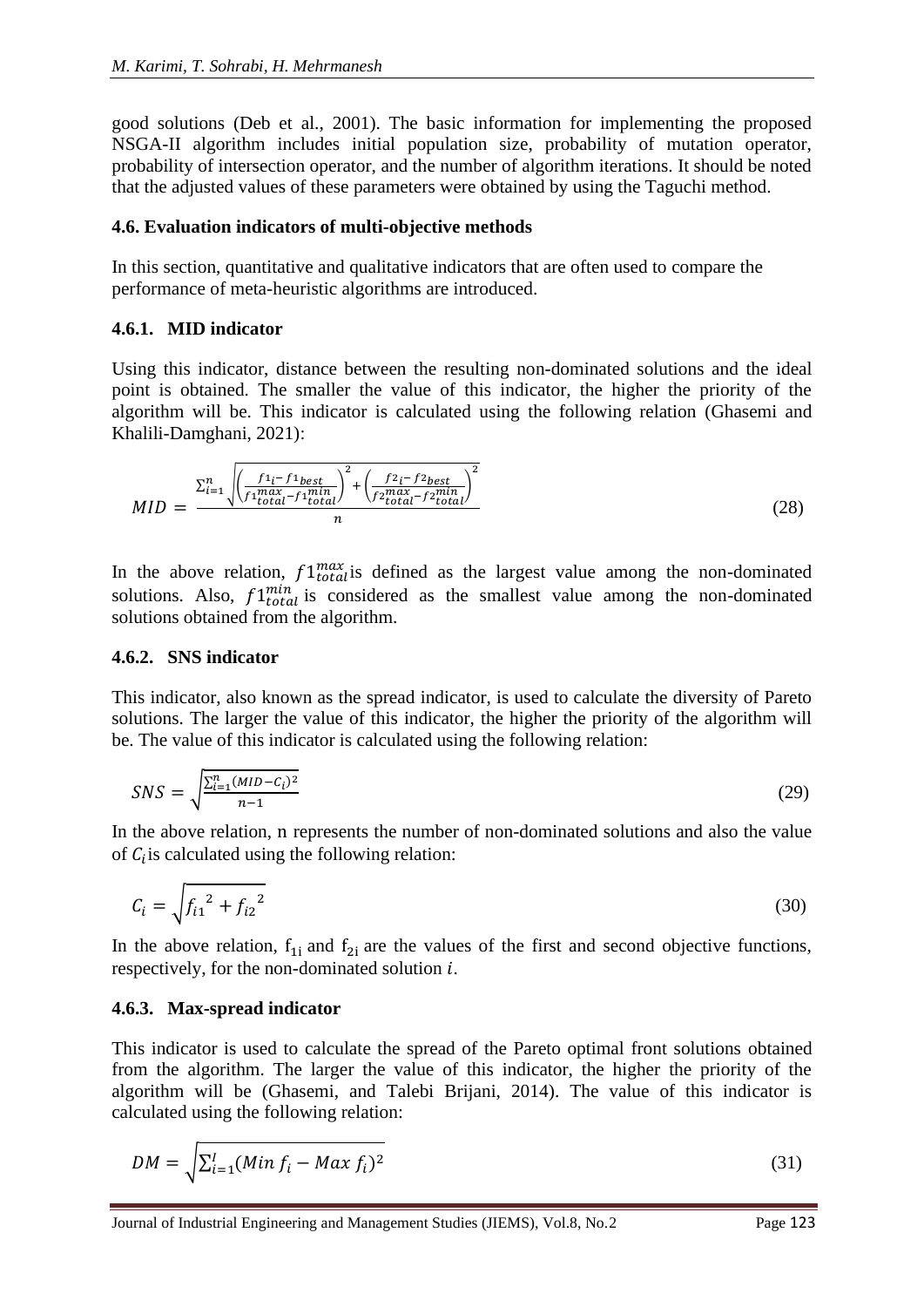good solutions (Deb et al., 2001). The basic information for implementing the proposed NSGA-II algorithm includes initial population size, probability of mutation operator, probability of intersection operator, and the number of algorithm iterations. It should be noted that the adjusted values of these parameters were obtained by using the Taguchi method.

#### **4.6. Evaluation indicators of multi-objective methods**

In this section, quantitative and qualitative indicators that are often used to compare the performance of meta-heuristic algorithms are introduced.

#### **4.6.1. MID indicator**

Using this indicator, distance between the resulting non-dominated solutions and the ideal point is obtained. The smaller the value of this indicator, the higher the priority of the algorithm will be. This indicator is calculated using the following relation (Ghasemi and Khalili-Damghani, 2021):

$$
MID = \frac{\sum_{i=1}^{n} \sqrt{\left(\frac{f_1_i - f_1_{best}}{f_1_{total}^{max} - f_1_{total}}\right)^2 + \left(\frac{f_2_i - f_2_{best}}{f_2_{total}^{max} - f_2_{total}}\right)^2}}{n}
$$
(28)

In the above relation,  $f1_{total}^{max}$  is defined as the largest value among the non-dominated solutions. Also,  $f1^{min}_{total}$  is considered as the smallest value among the non-dominated solutions obtained from the algorithm.

#### **4.6.2. SNS indicator**

This indicator, also known as the spread indicator, is used to calculate the diversity of Pareto solutions. The larger the value of this indicator, the higher the priority of the algorithm will be. The value of this indicator is calculated using the following relation:

$$
SNS = \sqrt{\frac{\sum_{i=1}^{n} (MID - C_i)^2}{n - 1}}
$$
 (29)

In the above relation, n represents the number of non-dominated solutions and also the value of  $C_i$  is calculated using the following relation:

$$
C_i = \sqrt{f_{i1}^2 + f_{i2}^2}
$$
 (30)

In the above relation,  $f_{1i}$  and  $f_{2i}$  are the values of the first and second objective functions, respectively, for the non-dominated solution  $i$ .

#### **4.6.3. Max-spread indicator**

This indicator is used to calculate the spread of the Pareto optimal front solutions obtained from the algorithm. The larger the value of this indicator, the higher the priority of the algorithm will be (Ghasemi, and Talebi Brijani, 2014). The value of this indicator is calculated using the following relation:

$$
DM = \sqrt{\sum_{i=1}^{I} (Min f_i - Max f_i)^2}
$$
 (31)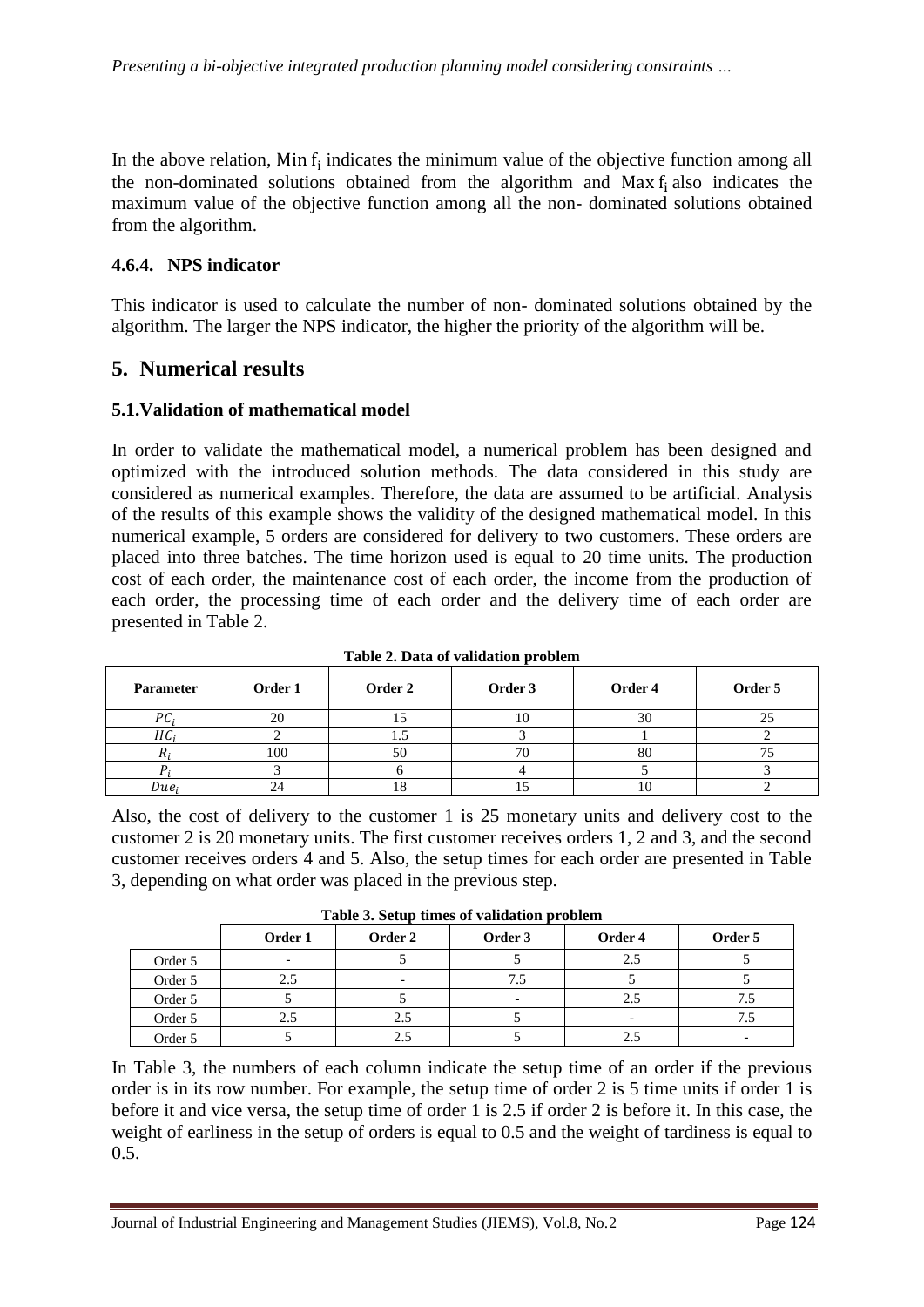In the above relation, Min  $f_i$  indicates the minimum value of the objective function among all the non-dominated solutions obtained from the algorithm and Max f<sup>i</sup> also indicates the maximum value of the objective function among all the non- dominated solutions obtained from the algorithm.

# **4.6.4. NPS indicator**

This indicator is used to calculate the number of non- dominated solutions obtained by the algorithm. The larger the NPS indicator, the higher the priority of the algorithm will be.

# **5. Numerical results**

## **5.1.Validation of mathematical model**

In order to validate the mathematical model, a numerical problem has been designed and optimized with the introduced solution methods. The data considered in this study are considered as numerical examples. Therefore, the data are assumed to be artificial. Analysis of the results of this example shows the validity of the designed mathematical model. In this numerical example, 5 orders are considered for delivery to two customers. These orders are placed into three batches. The time horizon used is equal to 20 time units. The production cost of each order, the maintenance cost of each order, the income from the production of each order, the processing time of each order and the delivery time of each order are presented in Table 2.

| <b>Parameter</b> | Order 1 | Order 2 | Table 2. Data of vanuation problem<br>Order 3 | Order 4 | Order 5 |
|------------------|---------|---------|-----------------------------------------------|---------|---------|
| РC <sub>i</sub>  | 20      |         |                                               | 30      | ل کے    |
| $HC_i$           |         |         |                                               |         |         |
| Ai               | 100     | 50      |                                               | 80      |         |
|                  |         |         |                                               |         |         |
| Due <sub>i</sub> |         |         |                                               | 1 U     |         |

**Table 2. Data of validation problem**

Also, the cost of delivery to the customer 1 is 25 monetary units and delivery cost to the customer 2 is 20 monetary units. The first customer receives orders 1, 2 and 3, and the second customer receives orders 4 and 5. Also, the setup times for each order are presented in Table 3, depending on what order was placed in the previous step.

| Table 3. Setup times of validation problem |  |
|--------------------------------------------|--|
|--------------------------------------------|--|

|         |                          |                          |                          | --------- |         |
|---------|--------------------------|--------------------------|--------------------------|-----------|---------|
|         | Order 1                  | Order 2                  | Order 3                  | Order 4   | Order 5 |
| Order 5 | $\overline{\phantom{0}}$ |                          |                          | 2.5       |         |
| Order 5 | 2.5                      | $\overline{\phantom{0}}$ |                          |           |         |
| Order 5 |                          |                          | $\overline{\phantom{0}}$ | 2.5       |         |
| Order 5 | 2.5                      | 2.5                      |                          |           | 7.J     |
| Order 5 |                          | 2.5                      |                          | 2.5       |         |

In Table 3, the numbers of each column indicate the setup time of an order if the previous order is in its row number. For example, the setup time of order 2 is 5 time units if order 1 is before it and vice versa, the setup time of order 1 is 2.5 if order 2 is before it. In this case, the weight of earliness in the setup of orders is equal to 0.5 and the weight of tardiness is equal to 0.5.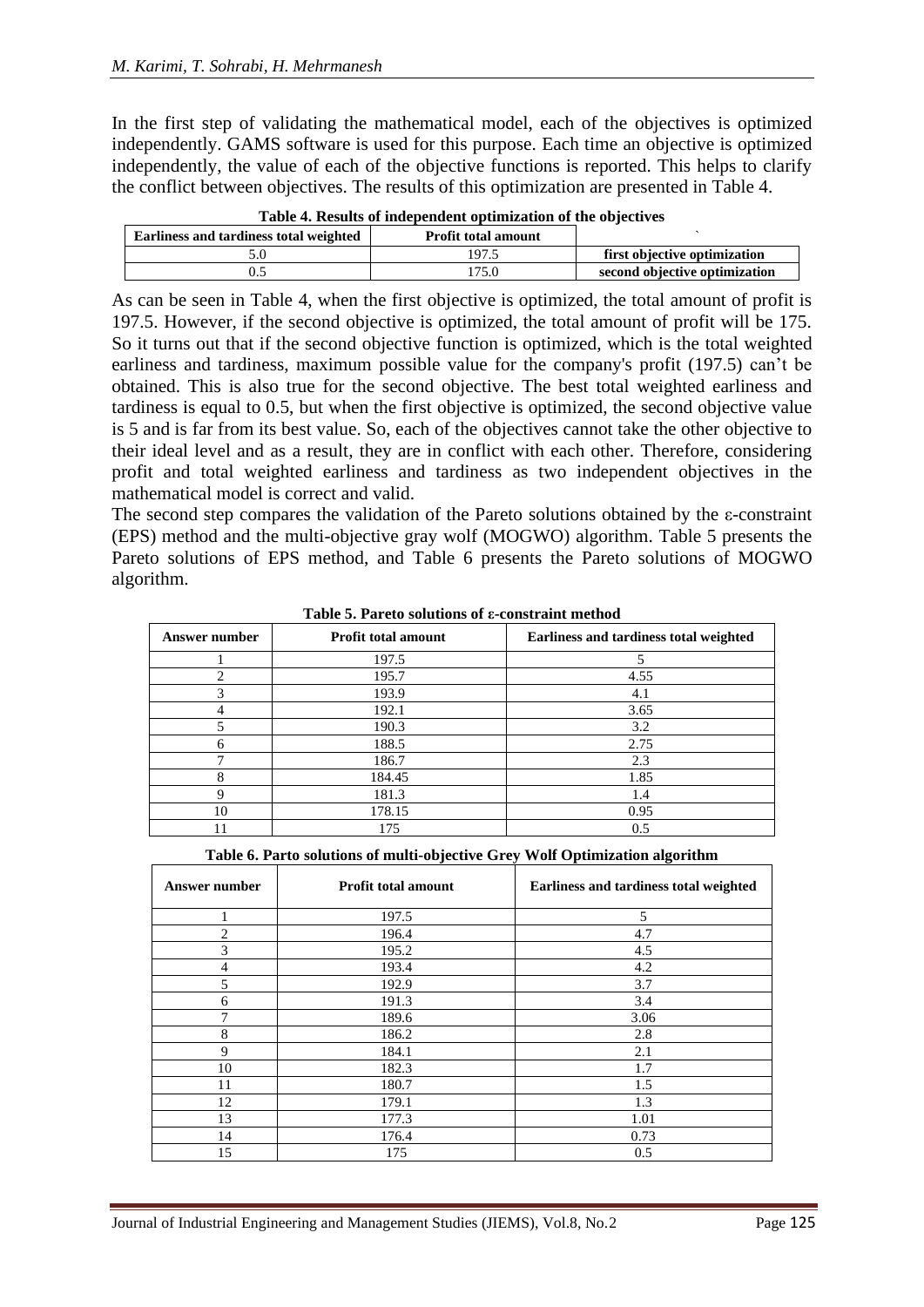In the first step of validating the mathematical model, each of the objectives is optimized independently. GAMS software is used for this purpose. Each time an objective is optimized independently, the value of each of the objective functions is reported. This helps to clarify the conflict between objectives. The results of this optimization are presented in Table 4.

| Earliness and tardiness total weighted | <b>Profit total amount</b> |                               |
|----------------------------------------|----------------------------|-------------------------------|
|                                        | 197.5                      | first objective optimization  |
|                                        | 75.0                       | second objective optimization |

**Table 4. Results of independent optimization of the objectives**

As can be seen in Table 4, when the first objective is optimized, the total amount of profit is 197.5. However, if the second objective is optimized, the total amount of profit will be 175. So it turns out that if the second objective function is optimized, which is the total weighted earliness and tardiness, maximum possible value for the company's profit (197.5) can't be obtained. This is also true for the second objective. The best total weighted earliness and tardiness is equal to 0.5, but when the first objective is optimized, the second objective value is 5 and is far from its best value. So, each of the objectives cannot take the other objective to their ideal level and as a result, they are in conflict with each other. Therefore, considering profit and total weighted earliness and tardiness as two independent objectives in the mathematical model is correct and valid.

The second step compares the validation of the Pareto solutions obtained by the ε-constraint (EPS) method and the multi-objective gray wolf (MOGWO) algorithm. Table 5 presents the Pareto solutions of EPS method, and Table 6 presents the Pareto solutions of MOGWO algorithm.

| Answer number | <b>Profit total amount</b> | Earliness and tardiness total weighted |
|---------------|----------------------------|----------------------------------------|
|               | 197.5                      |                                        |
| ∍             | 195.7                      | 4.55                                   |
| 3             | 193.9                      | 4.1                                    |
| 4             | 192.1                      | 3.65                                   |
|               | 190.3                      | 3.2                                    |
| 6             | 188.5                      | 2.75                                   |
| 7             | 186.7                      | 2.3                                    |
| 8             | 184.45                     | 1.85                                   |
| 9             | 181.3                      | 1.4                                    |
| 10            | 178.15                     | 0.95                                   |
|               | 175                        | 0.5                                    |

**Table 5. Pareto solutions of ε-constraint method**

**Table 6. Parto solutions of multi-objective Grey Wolf Optimization algorithm**

| Answer number | <b>Profit total amount</b> | Earliness and tardiness total weighted |
|---------------|----------------------------|----------------------------------------|
|               | 197.5                      | 5                                      |
| 2             | 196.4                      | 4.7                                    |
| 3             | 195.2                      | 4.5                                    |
| 4             | 193.4                      | 4.2                                    |
| 5             | 192.9                      | 3.7                                    |
| 6             | 191.3                      | 3.4                                    |
| 7             | 189.6                      | 3.06                                   |
| 8             | 186.2                      | 2.8                                    |
| 9             | 184.1                      | 2.1                                    |
| 10            | 182.3                      | 1.7                                    |
| 11            | 180.7                      | 1.5                                    |
| 12            | 179.1                      | 1.3                                    |
| 13            | 177.3                      | 1.01                                   |
| 14            | 176.4                      | 0.73                                   |
| 15            | 175                        | 0.5                                    |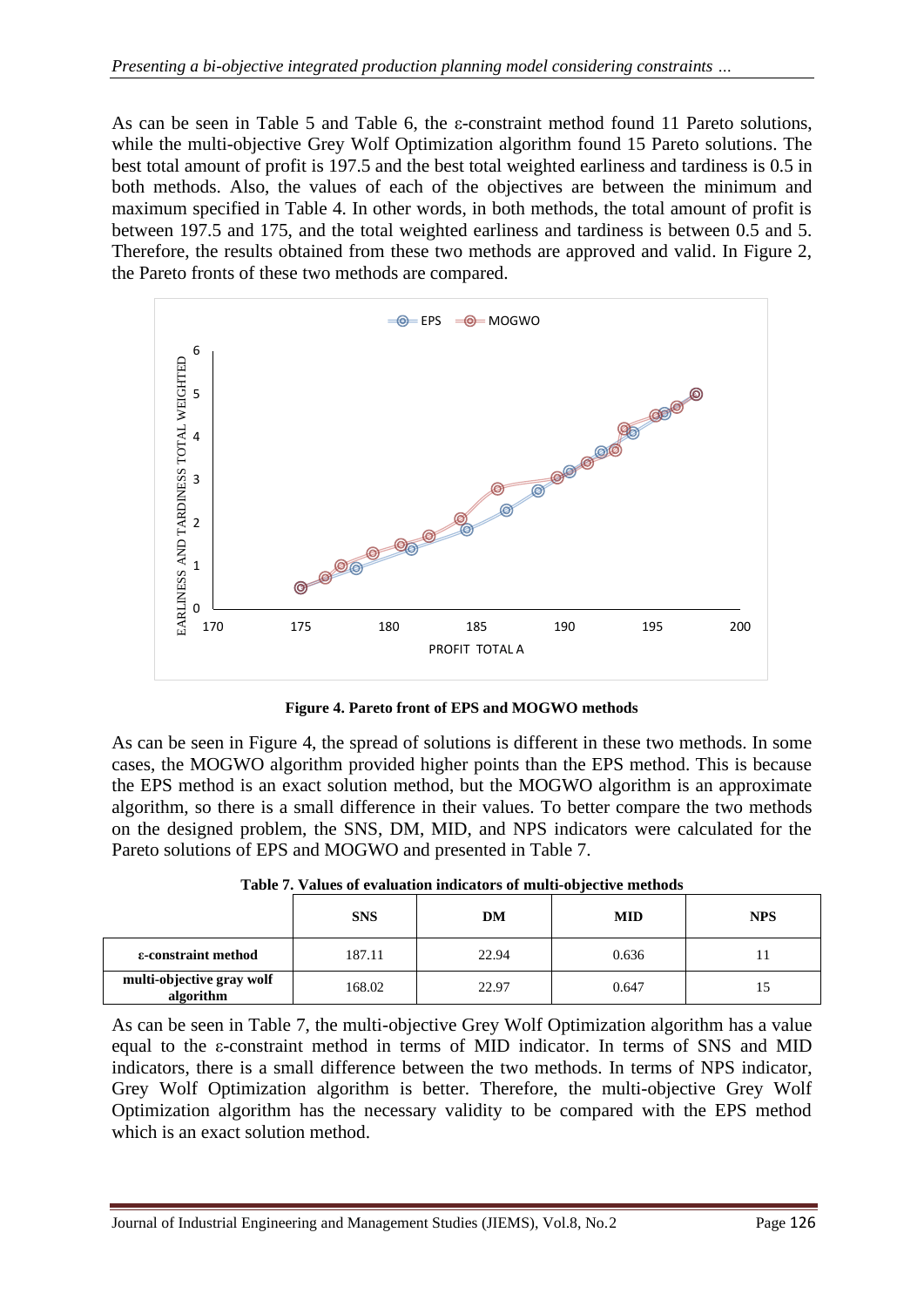As can be seen in Table 5 and Table 6, the ε-constraint method found 11 Pareto solutions, while the multi-objective Grey Wolf Optimization algorithm found 15 Pareto solutions. The best total amount of profit is 197.5 and the best total weighted earliness and tardiness is 0.5 in both methods. Also, the values of each of the objectives are between the minimum and maximum specified in Table 4. In other words, in both methods, the total amount of profit is between 197.5 and 175, and the total weighted earliness and tardiness is between 0.5 and 5. Therefore, the results obtained from these two methods are approved and valid. In Figure 2, the Pareto fronts of these two methods are compared.



**Figure 4. Pareto front of EPS and MOGWO methods**

As can be seen in Figure 4, the spread of solutions is different in these two methods. In some cases, the MOGWO algorithm provided higher points than the EPS method. This is because the EPS method is an exact solution method, but the MOGWO algorithm is an approximate algorithm, so there is a small difference in their values. To better compare the two methods on the designed problem, the SNS, DM, MID, and NPS indicators were calculated for the Pareto solutions of EPS and MOGWO and presented in Table 7.

|                                        | <b>SNS</b> | DM    | <b>MID</b> | <b>NPS</b> |
|----------------------------------------|------------|-------|------------|------------|
| ε-constraint method                    | 187.11     | 22.94 | 0.636      |            |
| multi-objective gray wolf<br>algorithm | 168.02     | 22.97 | 0.647      |            |

**Table 7. Values of evaluation indicators of multi-objective methods**

As can be seen in Table 7, the multi-objective Grey Wolf Optimization algorithm has a value equal to the ε-constraint method in terms of MID indicator. In terms of SNS and MID indicators, there is a small difference between the two methods. In terms of NPS indicator, Grey Wolf Optimization algorithm is better. Therefore, the multi-objective Grey Wolf Optimization algorithm has the necessary validity to be compared with the EPS method which is an exact solution method.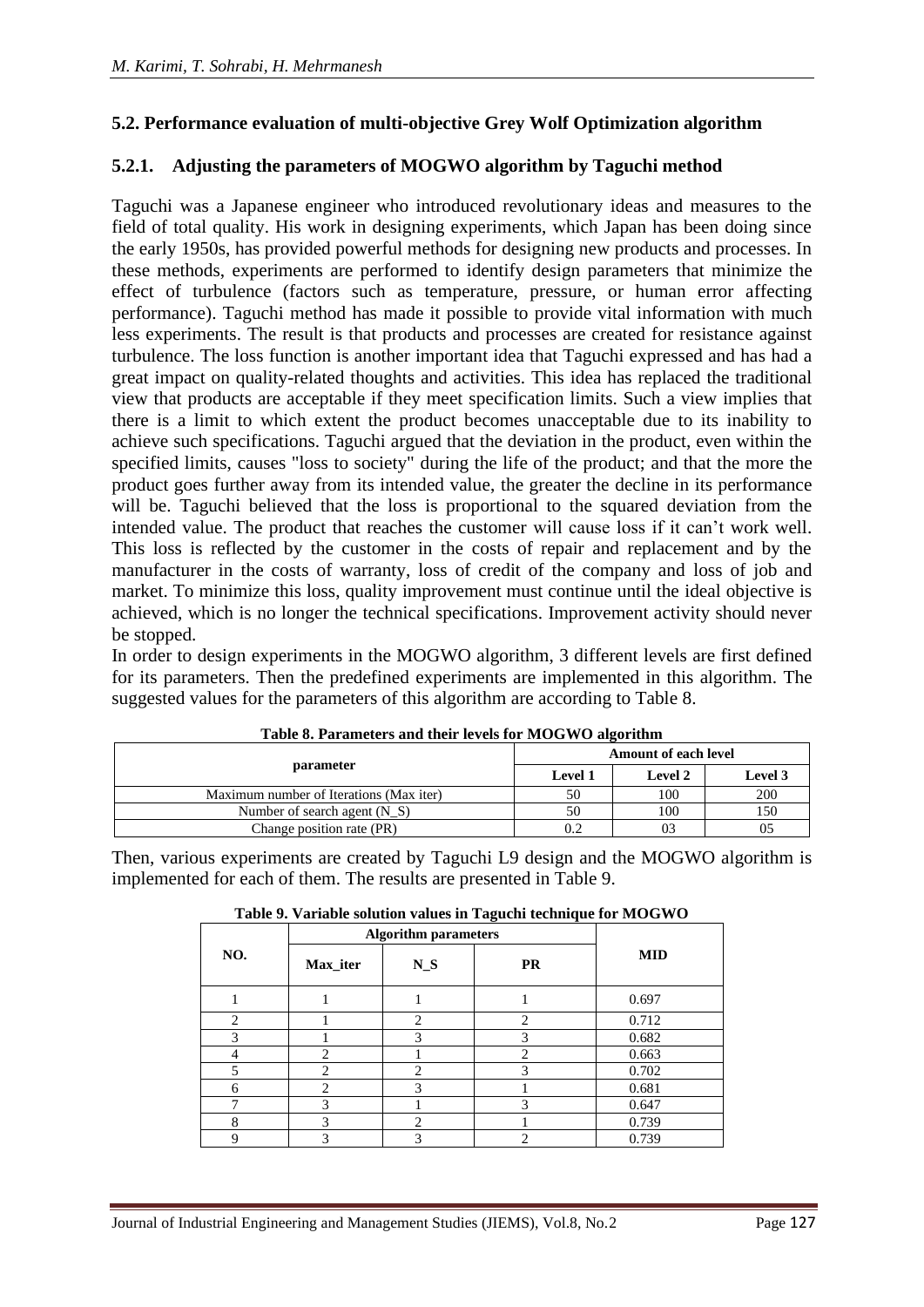## **5.2. Performance evaluation of multi-objective Grey Wolf Optimization algorithm**

#### **5.2.1. Adjusting the parameters of MOGWO algorithm by Taguchi method**

Taguchi was a Japanese engineer who introduced revolutionary ideas and measures to the field of total quality. His work in designing experiments, which Japan has been doing since the early 1950s, has provided powerful methods for designing new products and processes. In these methods, experiments are performed to identify design parameters that minimize the effect of turbulence (factors such as temperature, pressure, or human error affecting performance). Taguchi method has made it possible to provide vital information with much less experiments. The result is that products and processes are created for resistance against turbulence. The loss function is another important idea that Taguchi expressed and has had a great impact on quality-related thoughts and activities. This idea has replaced the traditional view that products are acceptable if they meet specification limits. Such a view implies that there is a limit to which extent the product becomes unacceptable due to its inability to achieve such specifications. Taguchi argued that the deviation in the product, even within the specified limits, causes "loss to society" during the life of the product; and that the more the product goes further away from its intended value, the greater the decline in its performance will be. Taguchi believed that the loss is proportional to the squared deviation from the intended value. The product that reaches the customer will cause loss if it can't work well. This loss is reflected by the customer in the costs of repair and replacement and by the manufacturer in the costs of warranty, loss of credit of the company and loss of job and market. To minimize this loss, quality improvement must continue until the ideal objective is achieved, which is no longer the technical specifications. Improvement activity should never be stopped.

In order to design experiments in the MOGWO algorithm, 3 different levels are first defined for its parameters. Then the predefined experiments are implemented in this algorithm. The suggested values for the parameters of this algorithm are according to Table 8.

|                                         |         | <b>Amount of each level</b> |                |
|-----------------------------------------|---------|-----------------------------|----------------|
| parameter                               | Level 1 | Level 2                     | <b>Level 3</b> |
| Maximum number of Iterations (Max iter) |         | 100                         | 200            |
| Number of search agent $(N S)$          | 50      | 100                         |                |
| Change position rate (PR)               |         |                             |                |

|  | Table 8. Parameters and their levels for MOGWO algorithm |
|--|----------------------------------------------------------|
|  |                                                          |

Then, various experiments are created by Taguchi L9 design and the MOGWO algorithm is implemented for each of them. The results are presented in Table 9.

|               | <b>Algorithm parameters</b> |                             |                |            |
|---------------|-----------------------------|-----------------------------|----------------|------------|
| NO.           | Max iter                    | $N_S$                       | <b>PR</b>      | <b>MID</b> |
|               |                             |                             |                | 0.697      |
| $\mathcal{D}$ |                             | $\mathcal{D}_{\mathcal{A}}$ | $\overline{c}$ | 0.712      |
| 3             |                             | 3                           | 3              | 0.682      |
|               | $\mathfrak{D}$              |                             | $\overline{c}$ | 0.663      |
| 5             | ∍                           | ↑                           | 3              | 0.702      |
| 6             |                             | 3                           |                | 0.681      |
| −             | 3                           |                             | 3              | 0.647      |
| 8             | 3                           | 2                           |                | 0.739      |
| 9             | 3                           |                             | 2              | 0.739      |

#### **Table 9. Variable solution values in Taguchi technique for MOGWO**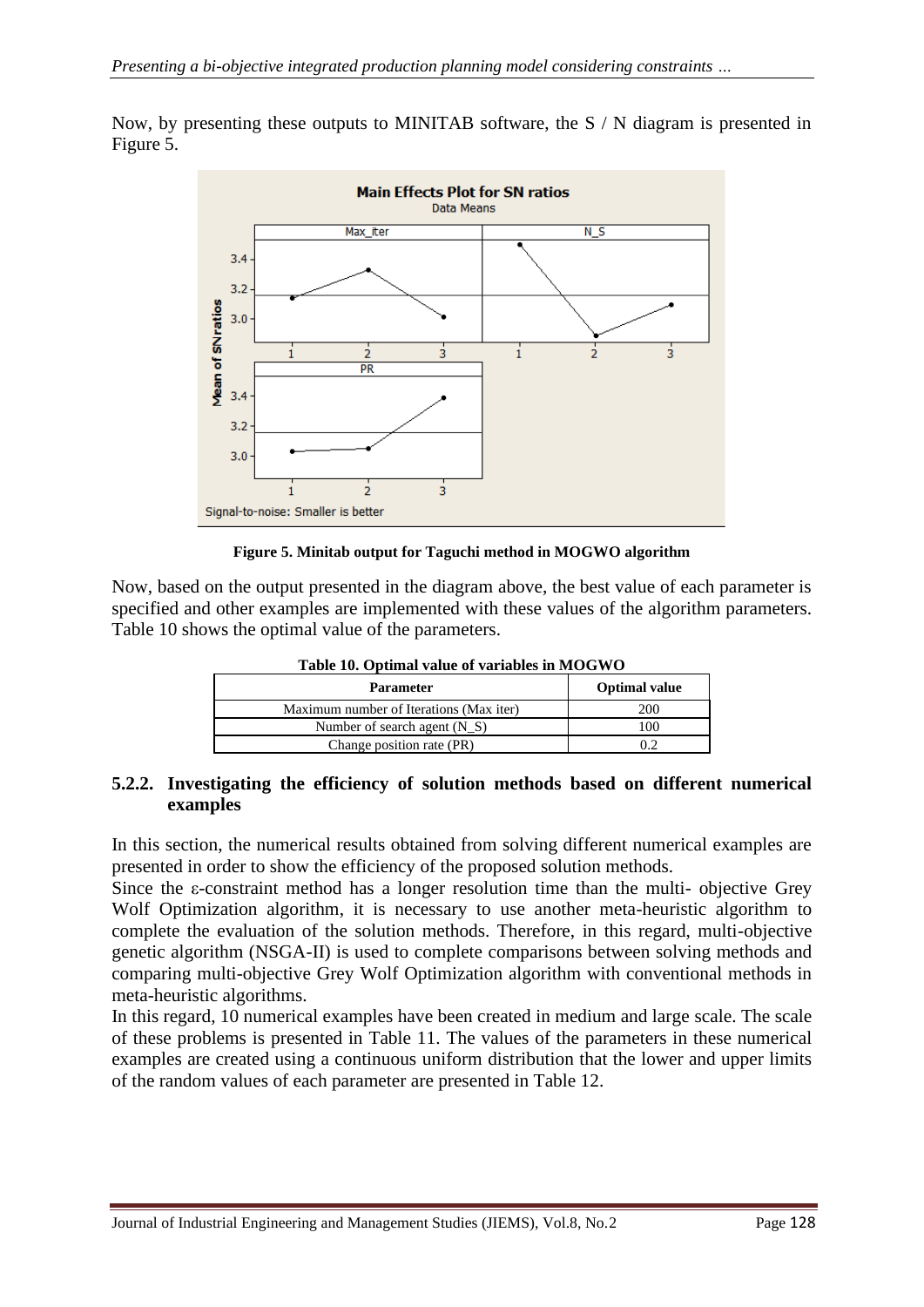

Now, by presenting these outputs to MINITAB software, the S / N diagram is presented in Figure 5.

#### **Figure 5. Minitab output for Taguchi method in MOGWO algorithm**

Now, based on the output presented in the diagram above, the best value of each parameter is specified and other examples are implemented with these values of the algorithm parameters. Table 10 shows the optimal value of the parameters.

| <b>Parameter</b>                        | <b>Optimal value</b> |
|-----------------------------------------|----------------------|
| Maximum number of Iterations (Max iter) | 200                  |
| Number of search agent $(N_S)$          | 00                   |
| Change position rate (PR)               |                      |

**Table 10. Optimal value of variables in MOGWO**

#### **5.2.2. Investigating the efficiency of solution methods based on different numerical examples**

In this section, the numerical results obtained from solving different numerical examples are presented in order to show the efficiency of the proposed solution methods.

Since the ε-constraint method has a longer resolution time than the multi- objective Grey Wolf Optimization algorithm, it is necessary to use another meta-heuristic algorithm to complete the evaluation of the solution methods. Therefore, in this regard, multi-objective genetic algorithm (NSGA-II) is used to complete comparisons between solving methods and comparing multi-objective Grey Wolf Optimization algorithm with conventional methods in meta-heuristic algorithms.

In this regard, 10 numerical examples have been created in medium and large scale. The scale of these problems is presented in Table 11. The values of the parameters in these numerical examples are created using a continuous uniform distribution that the lower and upper limits of the random values of each parameter are presented in Table 12.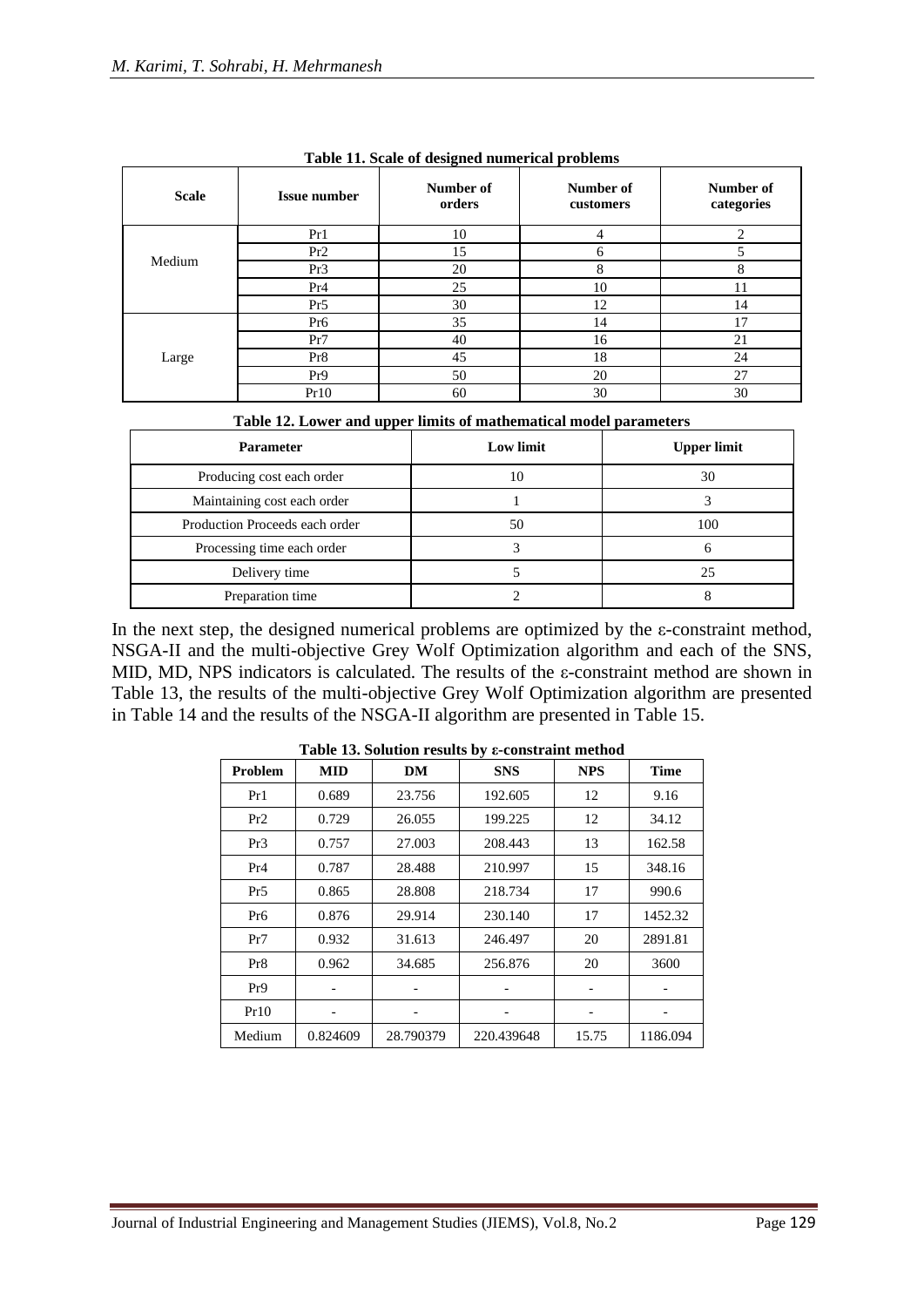| <b>Scale</b> | <b>Issue number</b> | ິ<br>Number of<br>orders | Number of<br>customers | Number of<br>categories |
|--------------|---------------------|--------------------------|------------------------|-------------------------|
|              | Pr1                 | 10                       | 4                      | $\overline{c}$          |
|              | Pr2                 | 15                       | 6                      |                         |
| Medium       | Pr <sub>3</sub>     | 20                       | 8                      | 8                       |
|              | Pr <sub>4</sub>     | 25                       | 10                     | 11                      |
|              | Pr5                 | 30                       | 12                     | 14                      |
|              | Pr6                 | 35                       | 14                     | 17                      |
|              | Pr7                 | 40                       | 16                     | 21                      |
| Large        | Pr8                 | 45                       | 18                     | 24                      |
|              | Pr9                 | 50                       | 20                     | 27                      |
|              | Pr10                | 60                       | 30                     | 30                      |

**Table 11. Scale of designed numerical problems** 

| <b>Parameter</b>               | <b>Low limit</b> | <b>Upper limit</b> |
|--------------------------------|------------------|--------------------|
| Producing cost each order      | 10               | 30                 |
| Maintaining cost each order    |                  |                    |
| Production Proceeds each order | 50               | 100                |
| Processing time each order     |                  |                    |
| Delivery time                  |                  | 25                 |
| Preparation time               |                  |                    |

In the next step, the designed numerical problems are optimized by the  $\varepsilon$ -constraint method, NSGA-II and the multi-objective Grey Wolf Optimization algorithm and each of the SNS, MID, MD, NPS indicators is calculated. The results of the ε-constraint method are shown in Table 13, the results of the multi-objective Grey Wolf Optimization algorithm are presented in Table 14 and the results of the NSGA-II algorithm are presented in Table 15.

| Problem         | <b>MID</b> | <b>DM</b> | <b>SNS</b> | <b>NPS</b> | <b>Time</b> |
|-----------------|------------|-----------|------------|------------|-------------|
| Pr1             | 0.689      | 23.756    | 192.605    | 12         | 9.16        |
| Pr2             | 0.729      | 26.055    | 199.225    | 12         | 34.12       |
| Pr3             | 0.757      | 27.003    | 208.443    | 13         | 162.58      |
| Pr <sub>4</sub> | 0.787      | 28.488    | 210.997    | 15         | 348.16      |
| Pr5             | 0.865      | 28.808    | 218.734    | 17         | 990.6       |
| Pr6             | 0.876      | 29.914    | 230.140    | 17         | 1452.32     |
| Pr7             | 0.932      | 31.613    | 246.497    | 20         | 2891.81     |
| Pr <sub>8</sub> | 0.962      | 34.685    | 256.876    | 20         | 3600        |
| Pr9             |            |           |            |            |             |
| Pr10            |            |           |            |            |             |
| Medium          | 0.824609   | 28.790379 | 220.439648 | 15.75      | 1186.094    |

**Table 13. Solution results by ε-constraint method**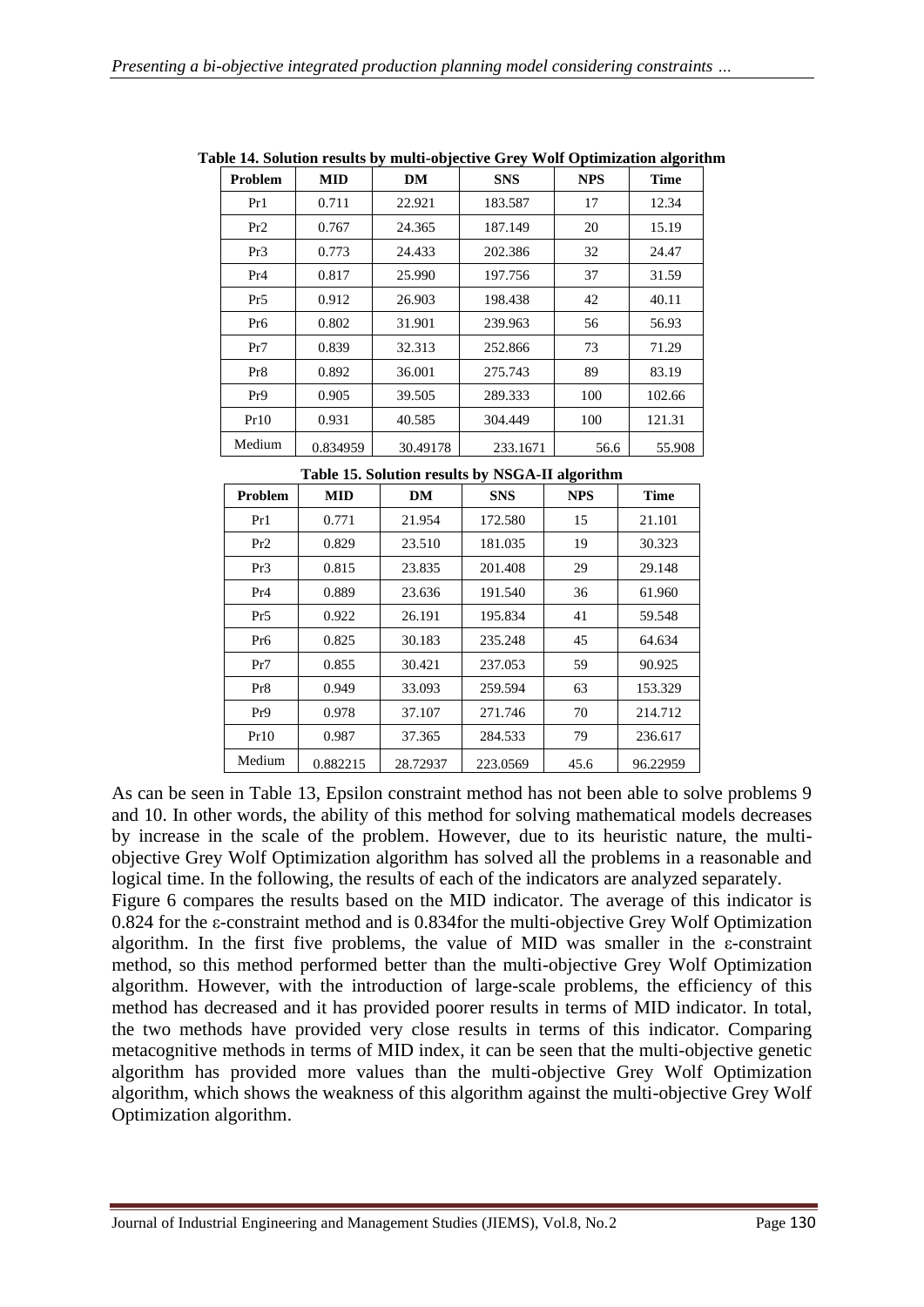| Problem         | <b>MID</b> | DM       | <b>SNS</b> | <b>NPS</b> | <b>Time</b> |
|-----------------|------------|----------|------------|------------|-------------|
| Pr1             | 0.711      | 22.921   | 183.587    | 17         | 12.34       |
| Pr2             | 0.767      | 24.365   | 187.149    | 20         | 15.19       |
| Pr3             | 0.773      | 24.433   | 202.386    | 32         | 24.47       |
| Pr <sub>4</sub> | 0.817      | 25.990   | 197.756    | 37         | 31.59       |
| Pr5             | 0.912      | 26.903   | 198.438    | 42         | 40.11       |
| Pr6             | 0.802      | 31.901   | 239.963    | 56         | 56.93       |
| Pr7             | 0.839      | 32.313   | 252.866    | 73         | 71.29       |
| Pr8             | 0.892      | 36.001   | 275.743    | 89         | 83.19       |
| Pr9             | 0.905      | 39.505   | 289.333    | 100        | 102.66      |
| Pr10            | 0.931      | 40.585   | 304.449    | 100        | 121.31      |
| Medium          | 0.834959   | 30.49178 | 233.1671   | 56.6       | 55.908      |

**Table 14. Solution results by multi-objective Grey Wolf Optimization algorithm**

**Table 15. Solution results by NSGA-II algorithm** 

| <b>Problem</b> | <b>MID</b> | DM       | <b>SNS</b> | <b>NPS</b> | <b>Time</b> |
|----------------|------------|----------|------------|------------|-------------|
| Pr1            | 0.771      | 21.954   | 172.580    | 15         | 21.101      |
| Pr2            | 0.829      | 23.510   | 181.035    | 19         | 30.323      |
| Pr3            | 0.815      | 23.835   | 201.408    | 29         | 29.148      |
| Pr4            | 0.889      | 23.636   | 191.540    | 36         | 61.960      |
| Pr5            | 0.922      | 26.191   | 195.834    | 41         | 59.548      |
| Pr6            | 0.825      | 30.183   | 235.248    | 45         | 64.634      |
| Pr7            | 0.855      | 30.421   | 237.053    | 59         | 90.925      |
| Pr8            | 0.949      | 33.093   | 259.594    | 63         | 153.329     |
| Pr9            | 0.978      | 37.107   | 271.746    | 70         | 214.712     |
| Pr10           | 0.987      | 37.365   | 284.533    | 79         | 236.617     |
| Medium         | 0.882215   | 28.72937 | 223.0569   | 45.6       | 96.22959    |

As can be seen in Table 13, Epsilon constraint method has not been able to solve problems 9 and 10. In other words, the ability of this method for solving mathematical models decreases by increase in the scale of the problem. However, due to its heuristic nature, the multiobjective Grey Wolf Optimization algorithm has solved all the problems in a reasonable and logical time. In the following, the results of each of the indicators are analyzed separately.

Figure 6 compares the results based on the MID indicator. The average of this indicator is 0.824 for the ε-constraint method and is 0.834for the multi-objective Grey Wolf Optimization algorithm. In the first five problems, the value of MID was smaller in the ε-constraint method, so this method performed better than the multi-objective Grey Wolf Optimization algorithm. However, with the introduction of large-scale problems, the efficiency of this method has decreased and it has provided poorer results in terms of MID indicator. In total, the two methods have provided very close results in terms of this indicator. Comparing metacognitive methods in terms of MID index, it can be seen that the multi-objective genetic algorithm has provided more values than the multi-objective Grey Wolf Optimization algorithm, which shows the weakness of this algorithm against the multi-objective Grey Wolf Optimization algorithm.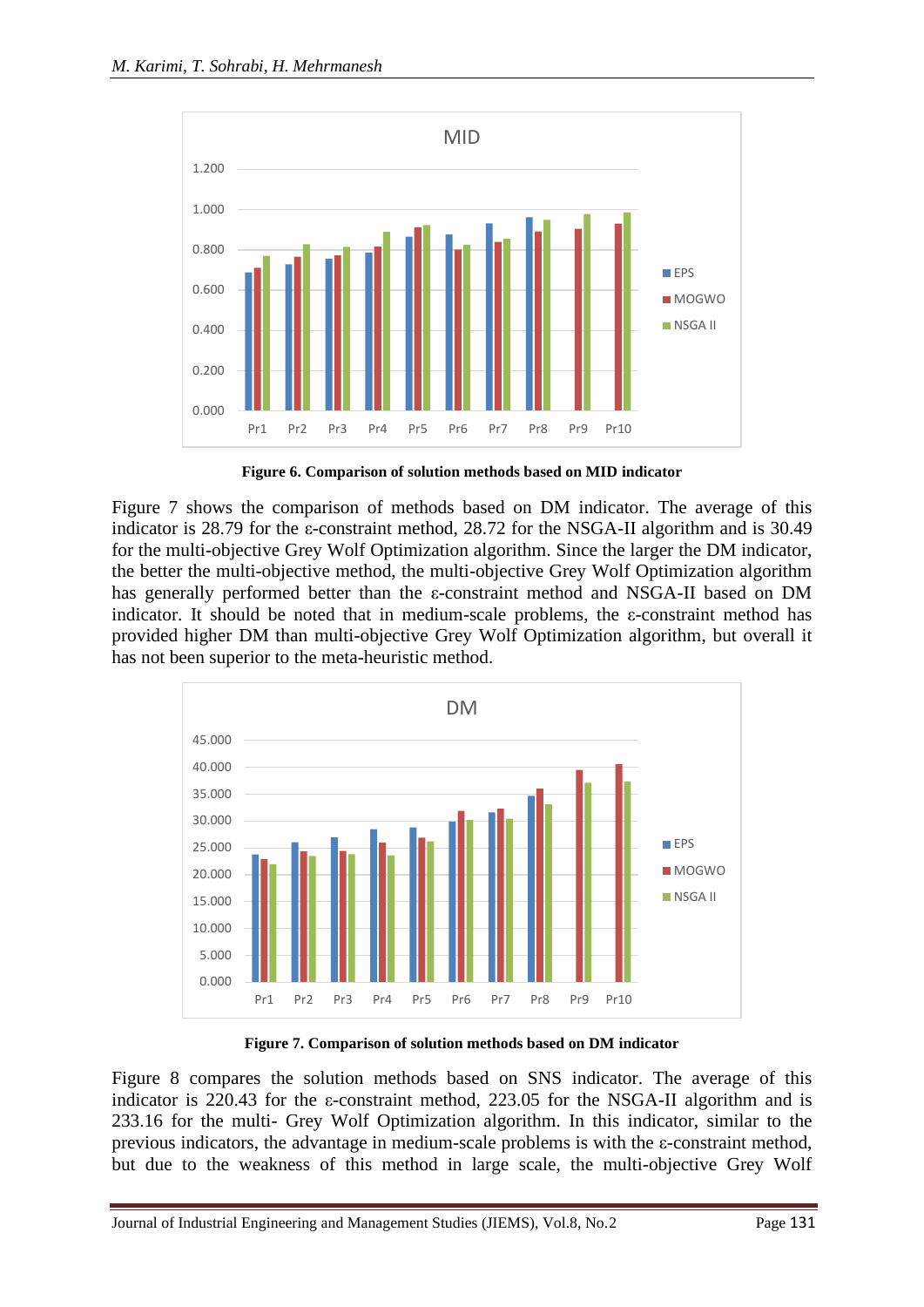

**Figure 6. Comparison of solution methods based on MID indicator**

Figure 7 shows the comparison of methods based on DM indicator. The average of this indicator is 28.79 for the ε-constraint method, 28.72 for the NSGA-II algorithm and is 30.49 for the multi-objective Grey Wolf Optimization algorithm. Since the larger the DM indicator, the better the multi-objective method, the multi-objective Grey Wolf Optimization algorithm has generally performed better than the ε-constraint method and NSGA-II based on DM indicator. It should be noted that in medium-scale problems, the ε-constraint method has provided higher DM than multi-objective Grey Wolf Optimization algorithm, but overall it has not been superior to the meta-heuristic method.



**Figure 7. Comparison of solution methods based on DM indicator**

Figure 8 compares the solution methods based on SNS indicator. The average of this indicator is 220.43 for the ε-constraint method, 223.05 for the NSGA-II algorithm and is 233.16 for the multi- Grey Wolf Optimization algorithm. In this indicator, similar to the previous indicators, the advantage in medium-scale problems is with the ε-constraint method, but due to the weakness of this method in large scale, the multi-objective Grey Wolf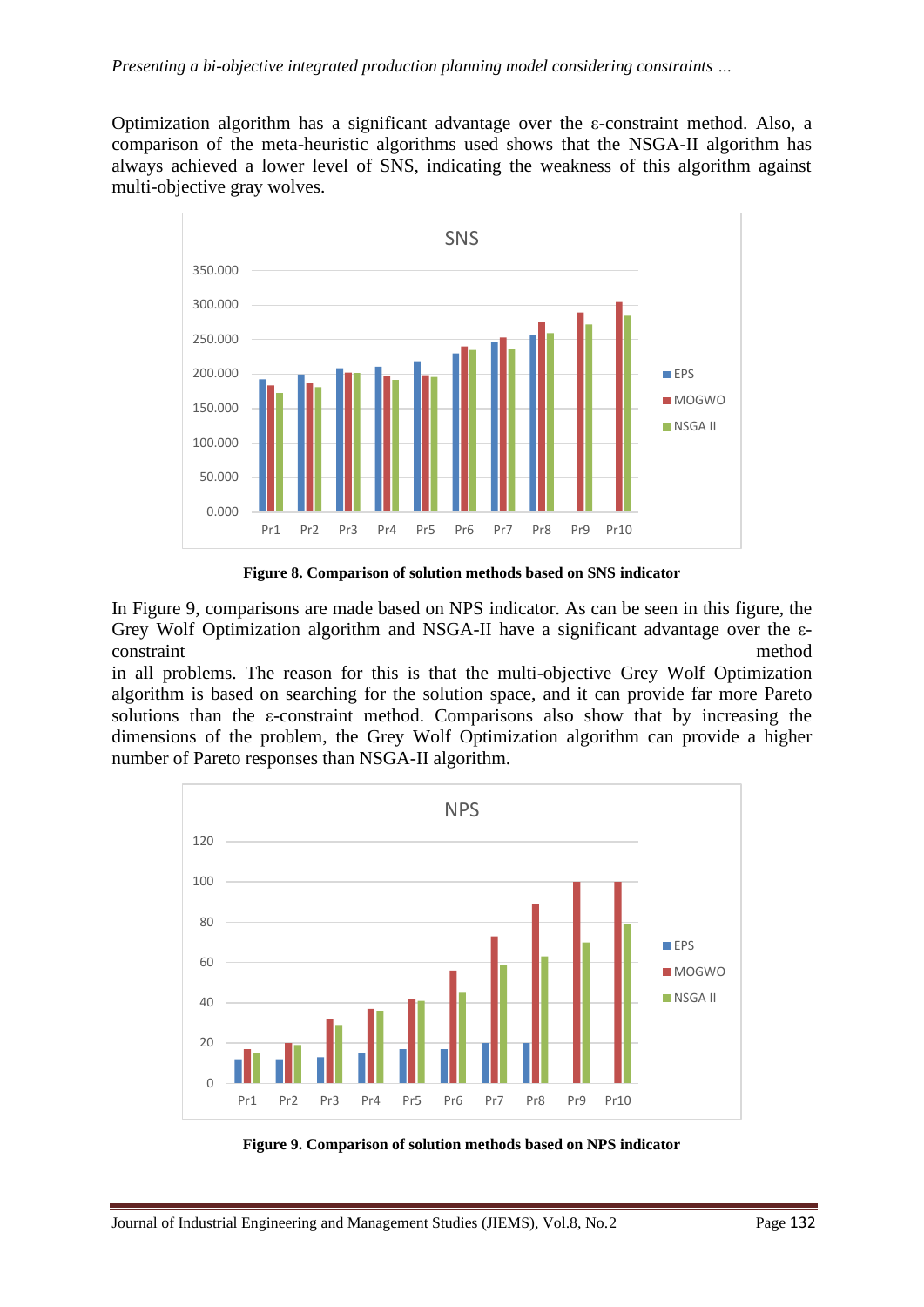Optimization algorithm has a significant advantage over the ε-constraint method. Also, a comparison of the meta-heuristic algorithms used shows that the NSGA-II algorithm has always achieved a lower level of SNS, indicating the weakness of this algorithm against multi-objective gray wolves.



**Figure 8. Comparison of solution methods based on SNS indicator**

In Figure 9, comparisons are made based on NPS indicator. As can be seen in this figure, the Grey Wolf Optimization algorithm and NSGA-II have a significant advantage over the εconstraint method

in all problems. The reason for this is that the multi-objective Grey Wolf Optimization algorithm is based on searching for the solution space, and it can provide far more Pareto solutions than the ε-constraint method. Comparisons also show that by increasing the dimensions of the problem, the Grey Wolf Optimization algorithm can provide a higher number of Pareto responses than NSGA-II algorithm.



**Figure 9. Comparison of solution methods based on NPS indicator**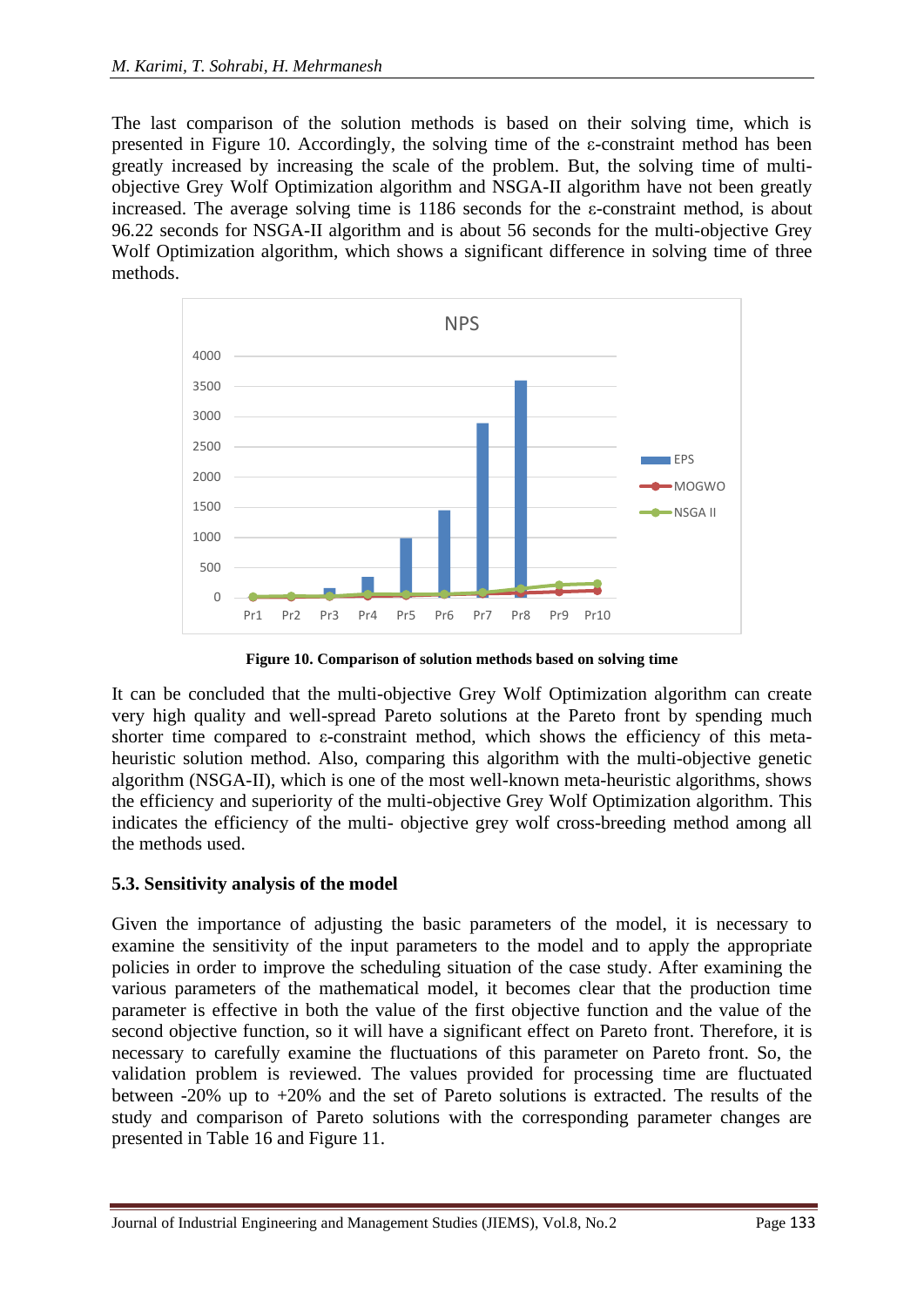The last comparison of the solution methods is based on their solving time, which is presented in Figure 10. Accordingly, the solving time of the ε-constraint method has been greatly increased by increasing the scale of the problem. But, the solving time of multiobjective Grey Wolf Optimization algorithm and NSGA-II algorithm have not been greatly increased. The average solving time is 1186 seconds for the ε-constraint method, is about 96.22 seconds for NSGA-II algorithm and is about 56 seconds for the multi-objective Grey Wolf Optimization algorithm, which shows a significant difference in solving time of three methods.



**Figure 10. Comparison of solution methods based on solving time**

It can be concluded that the multi-objective Grey Wolf Optimization algorithm can create very high quality and well-spread Pareto solutions at the Pareto front by spending much shorter time compared to ε-constraint method, which shows the efficiency of this metaheuristic solution method. Also, comparing this algorithm with the multi-objective genetic algorithm (NSGA-II), which is one of the most well-known meta-heuristic algorithms, shows the efficiency and superiority of the multi-objective Grey Wolf Optimization algorithm. This indicates the efficiency of the multi- objective grey wolf cross-breeding method among all the methods used.

#### **5.3. Sensitivity analysis of the model**

Given the importance of adjusting the basic parameters of the model, it is necessary to examine the sensitivity of the input parameters to the model and to apply the appropriate policies in order to improve the scheduling situation of the case study. After examining the various parameters of the mathematical model, it becomes clear that the production time parameter is effective in both the value of the first objective function and the value of the second objective function, so it will have a significant effect on Pareto front. Therefore, it is necessary to carefully examine the fluctuations of this parameter on Pareto front. So, the validation problem is reviewed. The values provided for processing time are fluctuated between -20% up to +20% and the set of Pareto solutions is extracted. The results of the study and comparison of Pareto solutions with the corresponding parameter changes are presented in Table 16 and Figure 11.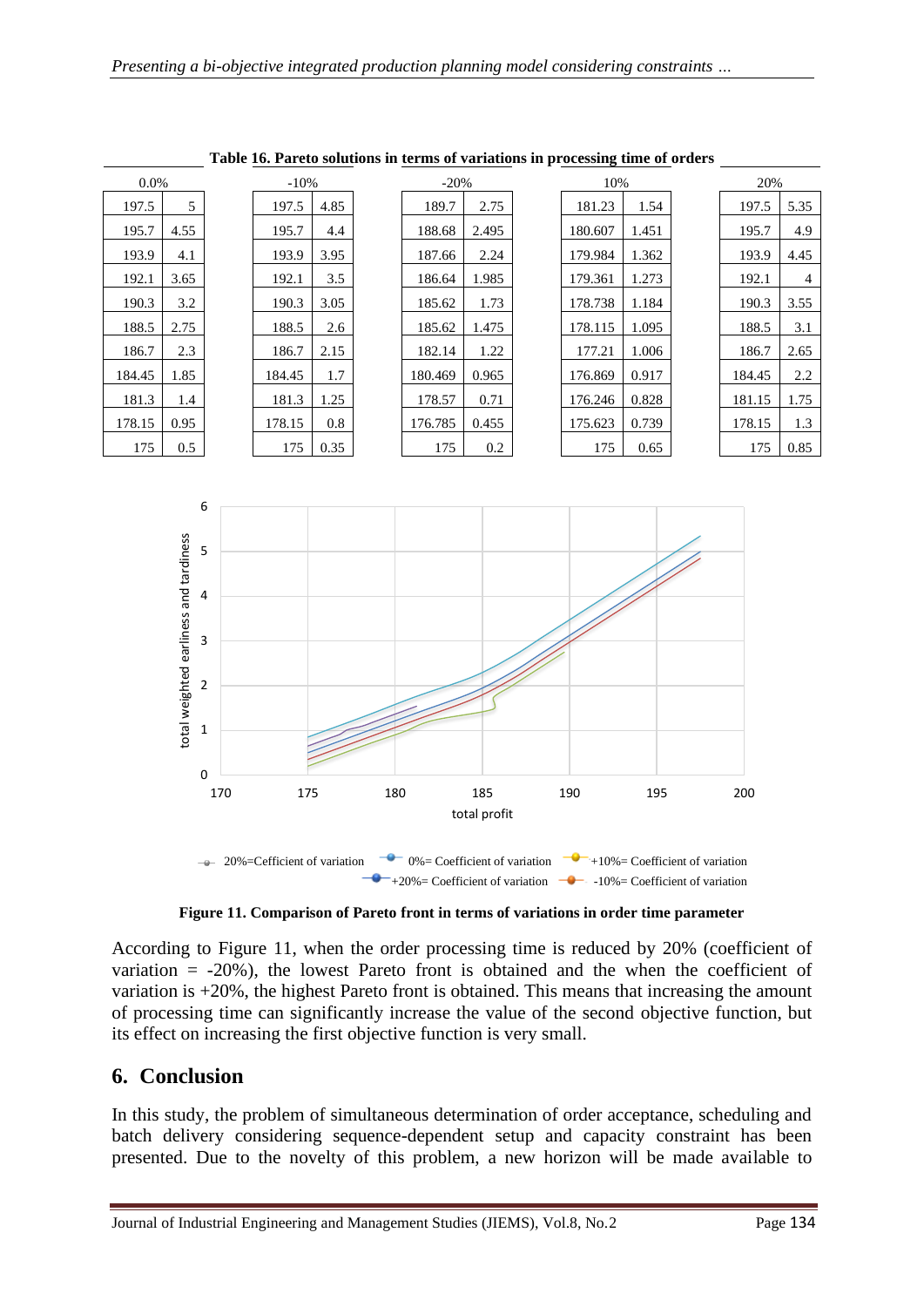| $0.0\%$ |      | $-10%$ |      | $-20%$  |       | 10%     |       | 20%    |      |
|---------|------|--------|------|---------|-------|---------|-------|--------|------|
| 197.5   | 5    | 197.5  | 4.85 | 189.7   | 2.75  | 181.23  | 1.54  | 197.5  | 5.35 |
| 195.7   | 4.55 | 195.7  | 4.4  | 188.68  | 2.495 | 180.607 | 1.451 | 195.7  | 4.9  |
| 193.9   | 4.1  | 193.9  | 3.95 | 187.66  | 2.24  | 179.984 | 1.362 | 193.9  | 4.45 |
| 192.1   | 3.65 | 192.1  | 3.5  | 186.64  | 1.985 | 179.361 | 1.273 | 192.1  | 4    |
| 190.3   | 3.2  | 190.3  | 3.05 | 185.62  | 1.73  | 178.738 | 1.184 | 190.3  | 3.55 |
| 188.5   | 2.75 | 188.5  | 2.6  | 185.62  | 1.475 | 178.115 | 1.095 | 188.5  | 3.1  |
| 186.7   | 2.3  | 186.7  | 2.15 | 182.14  | 1.22  | 177.21  | 1.006 | 186.7  | 2.65 |
| 184.45  | 1.85 | 184.45 | 1.7  | 180.469 | 0.965 | 176.869 | 0.917 | 184.45 | 2.2  |
| 181.3   | 1.4  | 181.3  | 1.25 | 178.57  | 0.71  | 176.246 | 0.828 | 181.15 | 1.75 |
| 178.15  | 0.95 | 178.15 | 0.8  | 176.785 | 0.455 | 175.623 | 0.739 | 178.15 | 1.3  |
| 175     | 0.5  | 175    | 0.35 | 175     | 0.2   | 175     | 0.65  | 175    | 0.85 |

**Table 16. Pareto solutions in terms of variations in processing time of orders**



**Figure 11. Comparison of Pareto front in terms of variations in order time parameter**

According to Figure 11, when the order processing time is reduced by 20% (coefficient of variation  $= -20\%$ ), the lowest Pareto front is obtained and the when the coefficient of variation is +20%, the highest Pareto front is obtained. This means that increasing the amount of processing time can significantly increase the value of the second objective function, but its effect on increasing the first objective function is very small.

# **6. Conclusion**

In this study, the problem of simultaneous determination of order acceptance, scheduling and batch delivery considering sequence-dependent setup and capacity constraint has been presented. Due to the novelty of this problem, a new horizon will be made available to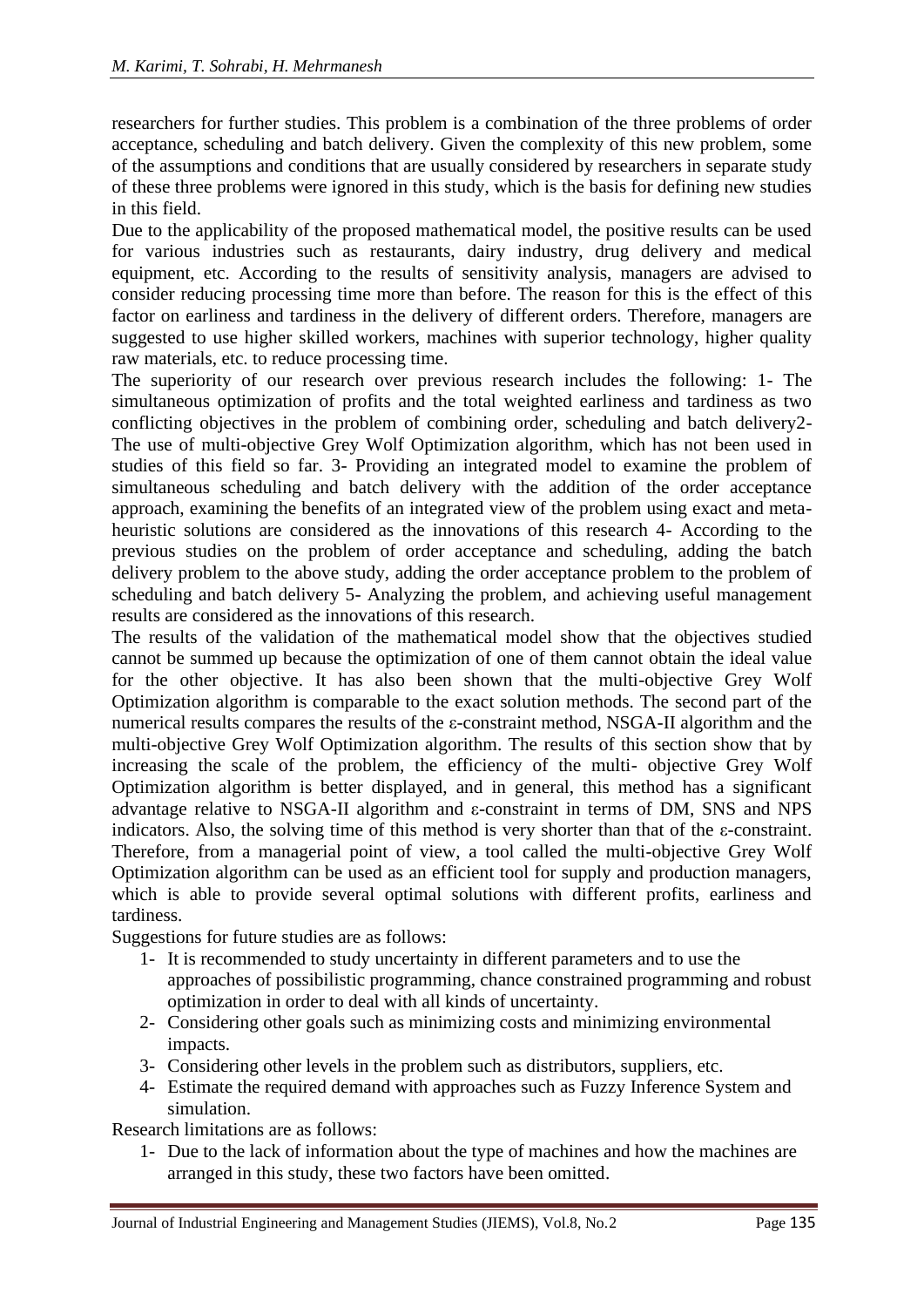researchers for further studies. This problem is a combination of the three problems of order acceptance, scheduling and batch delivery. Given the complexity of this new problem, some of the assumptions and conditions that are usually considered by researchers in separate study of these three problems were ignored in this study, which is the basis for defining new studies in this field.

Due to the applicability of the proposed mathematical model, the positive results can be used for various industries such as restaurants, dairy industry, drug delivery and medical equipment, etc. According to the results of sensitivity analysis, managers are advised to consider reducing processing time more than before. The reason for this is the effect of this factor on earliness and tardiness in the delivery of different orders. Therefore, managers are suggested to use higher skilled workers, machines with superior technology, higher quality raw materials, etc. to reduce processing time.

The superiority of our research over previous research includes the following: 1- The simultaneous optimization of profits and the total weighted earliness and tardiness as two conflicting objectives in the problem of combining order, scheduling and batch delivery2- The use of multi-objective Grey Wolf Optimization algorithm, which has not been used in studies of this field so far. 3- Providing an integrated model to examine the problem of simultaneous scheduling and batch delivery with the addition of the order acceptance approach, examining the benefits of an integrated view of the problem using exact and metaheuristic solutions are considered as the innovations of this research 4- According to the previous studies on the problem of order acceptance and scheduling, adding the batch delivery problem to the above study, adding the order acceptance problem to the problem of scheduling and batch delivery 5- Analyzing the problem, and achieving useful management results are considered as the innovations of this research.

The results of the validation of the mathematical model show that the objectives studied cannot be summed up because the optimization of one of them cannot obtain the ideal value for the other objective. It has also been shown that the multi-objective Grey Wolf Optimization algorithm is comparable to the exact solution methods. The second part of the numerical results compares the results of the ε-constraint method, NSGA-II algorithm and the multi-objective Grey Wolf Optimization algorithm. The results of this section show that by increasing the scale of the problem, the efficiency of the multi- objective Grey Wolf Optimization algorithm is better displayed, and in general, this method has a significant advantage relative to NSGA-II algorithm and ε-constraint in terms of DM, SNS and NPS indicators. Also, the solving time of this method is very shorter than that of the ε-constraint. Therefore, from a managerial point of view, a tool called the multi-objective Grey Wolf Optimization algorithm can be used as an efficient tool for supply and production managers, which is able to provide several optimal solutions with different profits, earliness and tardiness.

Suggestions for future studies are as follows:

- 1- It is recommended to study uncertainty in different parameters and to use the approaches of possibilistic programming, chance constrained programming and robust optimization in order to deal with all kinds of uncertainty.
- 2- Considering other goals such as minimizing costs and minimizing environmental impacts.
- 3- Considering other levels in the problem such as distributors, suppliers, etc.
- 4- Estimate the required demand with approaches such as Fuzzy Inference System and simulation.

Research limitations are as follows:

1- Due to the lack of information about the type of machines and how the machines are arranged in this study, these two factors have been omitted.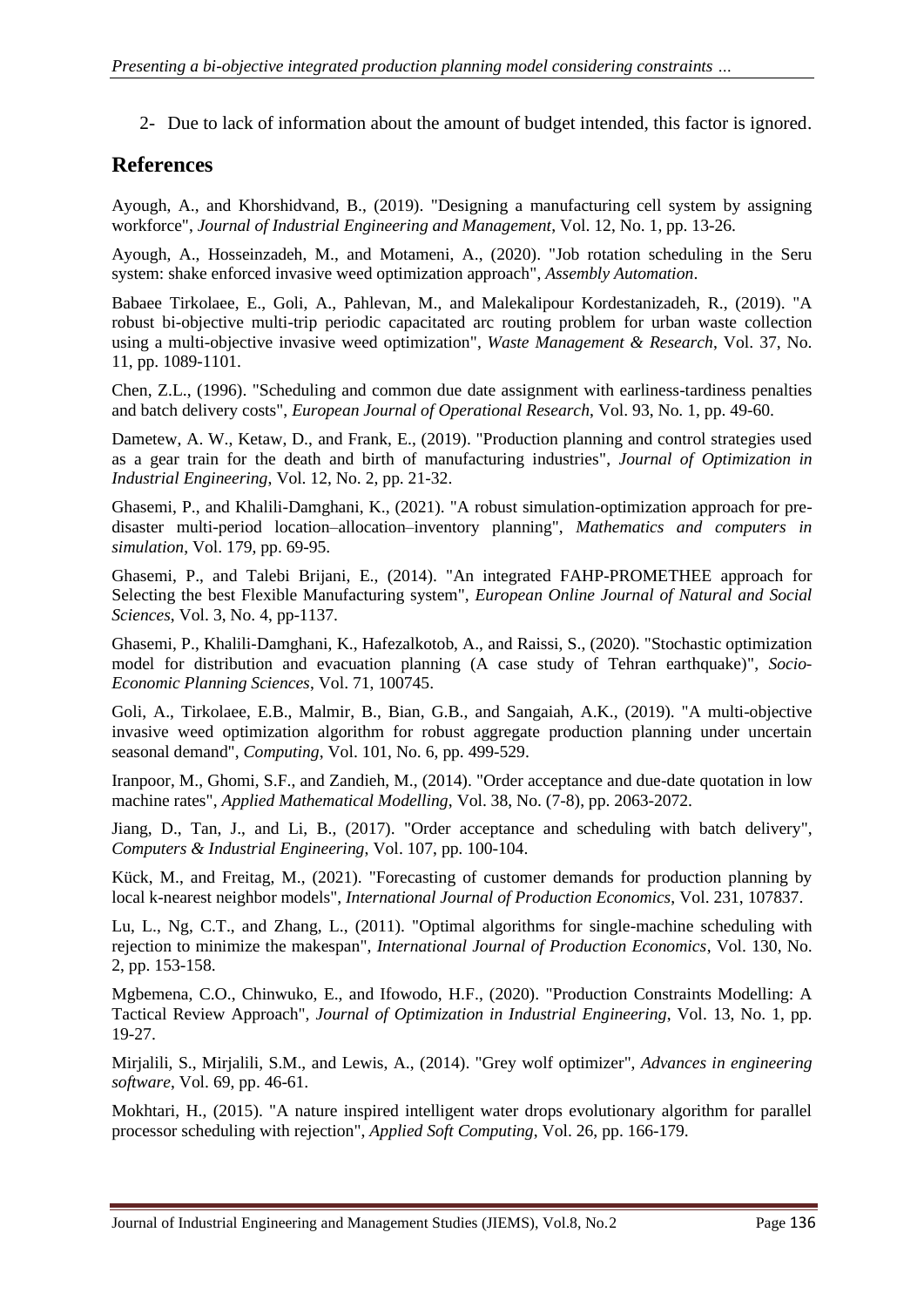2- Due to lack of information about the amount of budget intended, this factor is ignored.

# **References**

Ayough, A., and Khorshidvand, B., (2019). "Designing a manufacturing cell system by assigning workforce", *Journal of Industrial Engineering and Management*, Vol. 12, No. 1, pp. 13-26.

Ayough, A., Hosseinzadeh, M., and Motameni, A., (2020). "Job rotation scheduling in the Seru system: shake enforced invasive weed optimization approach", *Assembly Automation*.

Babaee Tirkolaee, E., Goli, A., Pahlevan, M., and Malekalipour Kordestanizadeh, R., (2019). "A robust bi-objective multi-trip periodic capacitated arc routing problem for urban waste collection using a multi-objective invasive weed optimization", *Waste Management & Research*, Vol. 37, No. 11, pp. 1089-1101.

Chen, Z.L., (1996). "Scheduling and common due date assignment with earliness-tardiness penalties and batch delivery costs", *European Journal of Operational Research*, Vol. 93, No. 1, pp. 49-60.

Dametew, A. W., Ketaw, D., and Frank, E., (2019). "Production planning and control strategies used as a gear train for the death and birth of manufacturing industries", *Journal of Optimization in Industrial Engineering*, Vol. 12, No. 2, pp. 21-32.

Ghasemi, P., and Khalili-Damghani, K., (2021). "A robust simulation-optimization approach for predisaster multi-period location–allocation–inventory planning", *Mathematics and computers in simulation*, Vol. 179, pp. 69-95.

Ghasemi, P., and Talebi Brijani, E., (2014). "An integrated FAHP-PROMETHEE approach for Selecting the best Flexible Manufacturing system", *European Online Journal of Natural and Social Sciences*, Vol. 3, No. 4, pp-1137.

Ghasemi, P., Khalili-Damghani, K., Hafezalkotob, A., and Raissi, S., (2020). "Stochastic optimization model for distribution and evacuation planning (A case study of Tehran earthquake)", *Socio-Economic Planning Sciences*, Vol. 71, 100745.

Goli, A., Tirkolaee, E.B., Malmir, B., Bian, G.B., and Sangaiah, A.K., (2019). "A multi-objective invasive weed optimization algorithm for robust aggregate production planning under uncertain seasonal demand", *Computing*, Vol. 101, No. 6, pp. 499-529.

Iranpoor, M., Ghomi, S.F., and Zandieh, M., (2014). "Order acceptance and due-date quotation in low machine rates", *Applied Mathematical Modelling*, Vol. 38, No. (7-8), pp. 2063-2072.

Jiang, D., Tan, J., and Li, B., (2017). "Order acceptance and scheduling with batch delivery", *Computers & Industrial Engineering*, Vol. 107, pp. 100-104.

Kück, M., and Freitag, M., (2021). "Forecasting of customer demands for production planning by local k-nearest neighbor models", *International Journal of Production Economics*, Vol. 231, 107837.

Lu, L., Ng, C.T., and Zhang, L., (2011). "Optimal algorithms for single-machine scheduling with rejection to minimize the makespan", *International Journal of Production Economics*, Vol. 130, No. 2, pp. 153-158.

Mgbemena, C.O., Chinwuko, E., and Ifowodo, H.F., (2020). "Production Constraints Modelling: A Tactical Review Approach", *Journal of Optimization in Industrial Engineering*, Vol. 13, No. 1, pp. 19-27.

Mirjalili, S., Mirjalili, S.M., and Lewis, A., (2014). "Grey wolf optimizer", *Advances in engineering software*, Vol. 69, pp. 46-61.

Mokhtari, H., (2015). "A nature inspired intelligent water drops evolutionary algorithm for parallel processor scheduling with rejection", *Applied Soft Computing*, Vol. 26, pp. 166-179.